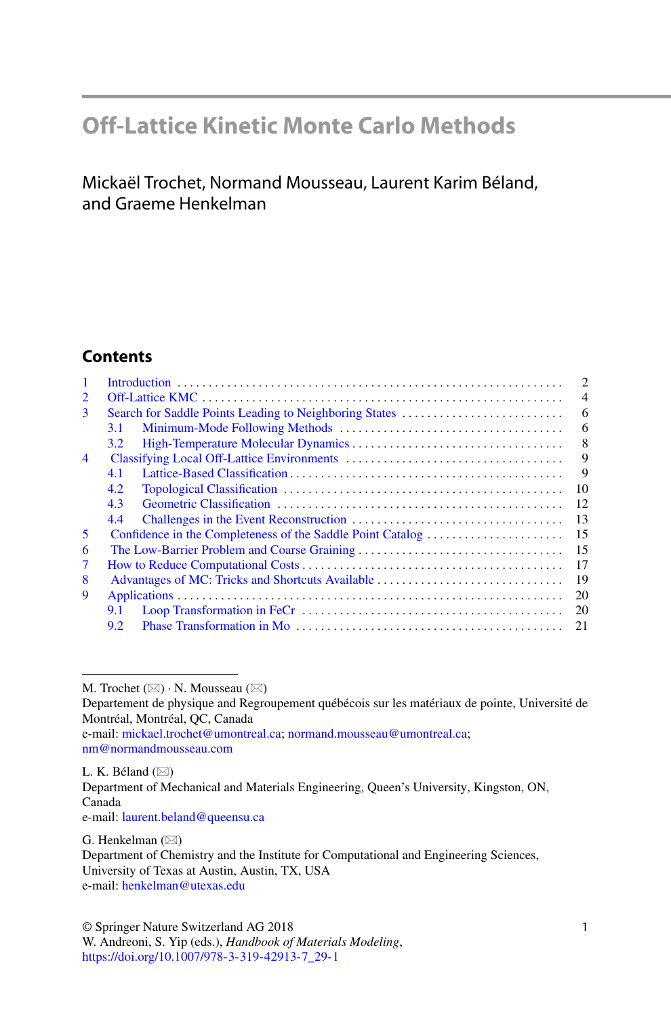# **Off-Lattice Kinetic Monte Carlo Methods**

Mickaël Trochet, Normand Mousseau, Laurent Karim Béland, and Graeme Henkelman

# **Contents**

|     |  | $\overline{c}$                                                                                                                                                           |
|-----|--|--------------------------------------------------------------------------------------------------------------------------------------------------------------------------|
|     |  | $\overline{4}$                                                                                                                                                           |
|     |  | 6                                                                                                                                                                        |
| 3.1 |  | 6                                                                                                                                                                        |
| 3.2 |  | 8                                                                                                                                                                        |
|     |  | 9                                                                                                                                                                        |
| 4.1 |  | 9                                                                                                                                                                        |
| 4.2 |  | 10                                                                                                                                                                       |
| 4.3 |  | 12                                                                                                                                                                       |
| 4.4 |  | 13                                                                                                                                                                       |
|     |  | 15                                                                                                                                                                       |
|     |  | 15                                                                                                                                                                       |
|     |  | 17                                                                                                                                                                       |
|     |  | 19                                                                                                                                                                       |
|     |  | 20                                                                                                                                                                       |
| 9.1 |  | 20                                                                                                                                                                       |
| 9.2 |  |                                                                                                                                                                          |
|     |  | Search for Saddle Points Leading to Neighboring States<br>Confidence in the Completeness of the Saddle Point Catalog<br>Advantages of MC: Tricks and Shortcuts Available |

M. Trochet  $(\boxtimes) \cdot$  N. Mousseau  $(\boxtimes)$ 

e-mail: [mickael.trochet@umontreal.ca;](mailto:mickael.trochet@umontreal.ca) [normand.mousseau@umontreal.ca;](mailto:normand.mousseau@umontreal.ca) [nm@normandmousseau.com](mailto:nm@normandmousseau.com)

L. K. Béland  $(\boxtimes)$ Department of Mechanical and Materials Engineering, Queen's University, Kingston, ON, Canada e-mail: [laurent.beland@queensu.ca](mailto:laurent.beland@queensu.ca)

G. Henkelman  $(\boxtimes)$ Department of Chemistry and the Institute for Computational and Engineering Sciences, University of Texas at Austin, Austin, TX, USA e-mail: [henkelman@utexas.edu](mailto:henkelman@utexas.edu)

Departement de physique and Regroupement québécois sur les matériaux de pointe, Université de Montréal, Montréal, QC, Canada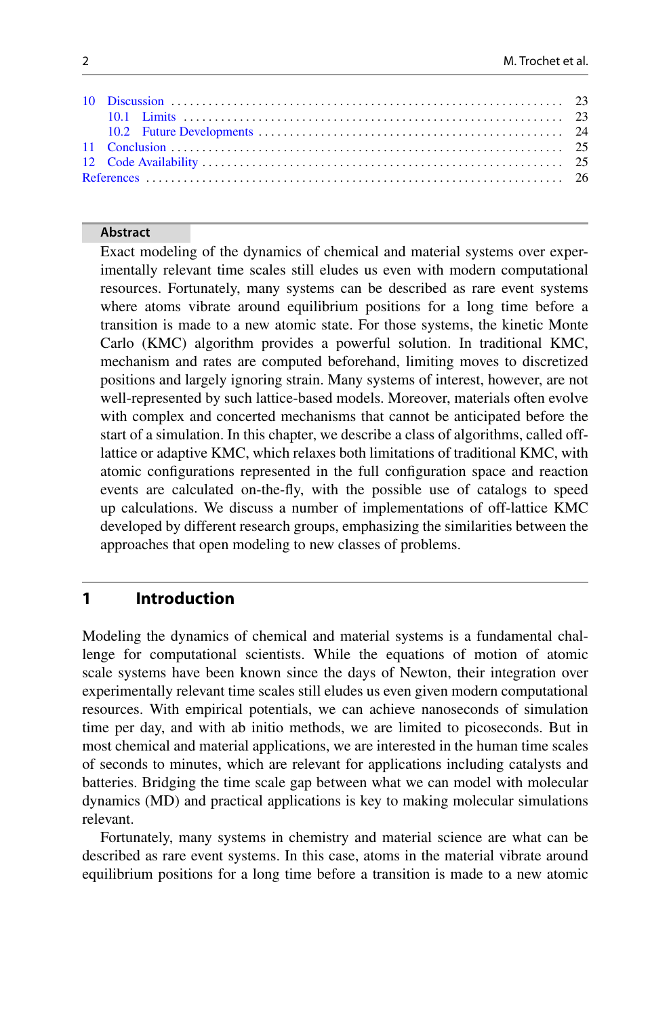#### **Abstract**

Exact modeling of the dynamics of chemical and material systems over experimentally relevant time scales still eludes us even with modern computational resources. Fortunately, many systems can be described as rare event systems where atoms vibrate around equilibrium positions for a long time before a transition is made to a new atomic state. For those systems, the kinetic Monte Carlo (KMC) algorithm provides a powerful solution. In traditional KMC, mechanism and rates are computed beforehand, limiting moves to discretized positions and largely ignoring strain. Many systems of interest, however, are not well-represented by such lattice-based models. Moreover, materials often evolve with complex and concerted mechanisms that cannot be anticipated before the start of a simulation. In this chapter, we describe a class of algorithms, called offlattice or adaptive KMC, which relaxes both limitations of traditional KMC, with atomic configurations represented in the full configuration space and reaction events are calculated on-the-fly, with the possible use of catalogs to speed up calculations. We discuss a number of implementations of off-lattice KMC developed by different research groups, emphasizing the similarities between the approaches that open modeling to new classes of problems.

## **1 Introduction**

Modeling the dynamics of chemical and material systems is a fundamental challenge for computational scientists. While the equations of motion of atomic scale systems have been known since the days of Newton, their integration over experimentally relevant time scales still eludes us even given modern computational resources. With empirical potentials, we can achieve nanoseconds of simulation time per day, and with ab initio methods, we are limited to picoseconds. But in most chemical and material applications, we are interested in the human time scales of seconds to minutes, which are relevant for applications including catalysts and batteries. Bridging the time scale gap between what we can model with molecular dynamics (MD) and practical applications is key to making molecular simulations relevant.

Fortunately, many systems in chemistry and material science are what can be described as rare event systems. In this case, atoms in the material vibrate around equilibrium positions for a long time before a transition is made to a new atomic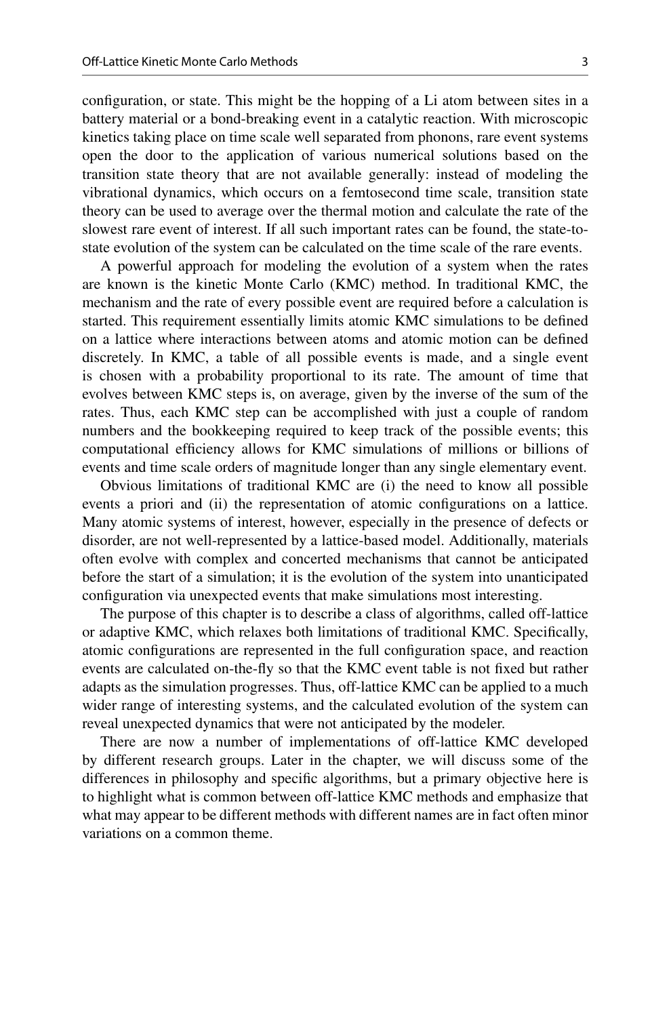configuration, or state. This might be the hopping of a Li atom between sites in a battery material or a bond-breaking event in a catalytic reaction. With microscopic kinetics taking place on time scale well separated from phonons, rare event systems open the door to the application of various numerical solutions based on the transition state theory that are not available generally: instead of modeling the vibrational dynamics, which occurs on a femtosecond time scale, transition state theory can be used to average over the thermal motion and calculate the rate of the slowest rare event of interest. If all such important rates can be found, the state-tostate evolution of the system can be calculated on the time scale of the rare events.

A powerful approach for modeling the evolution of a system when the rates are known is the kinetic Monte Carlo (KMC) method. In traditional KMC, the mechanism and the rate of every possible event are required before a calculation is started. This requirement essentially limits atomic KMC simulations to be defined on a lattice where interactions between atoms and atomic motion can be defined discretely. In KMC, a table of all possible events is made, and a single event is chosen with a probability proportional to its rate. The amount of time that evolves between KMC steps is, on average, given by the inverse of the sum of the rates. Thus, each KMC step can be accomplished with just a couple of random numbers and the bookkeeping required to keep track of the possible events; this computational efficiency allows for KMC simulations of millions or billions of events and time scale orders of magnitude longer than any single elementary event.

Obvious limitations of traditional KMC are (i) the need to know all possible events a priori and (ii) the representation of atomic configurations on a lattice. Many atomic systems of interest, however, especially in the presence of defects or disorder, are not well-represented by a lattice-based model. Additionally, materials often evolve with complex and concerted mechanisms that cannot be anticipated before the start of a simulation; it is the evolution of the system into unanticipated configuration via unexpected events that make simulations most interesting.

The purpose of this chapter is to describe a class of algorithms, called off-lattice or adaptive KMC, which relaxes both limitations of traditional KMC. Specifically, atomic configurations are represented in the full configuration space, and reaction events are calculated on-the-fly so that the KMC event table is not fixed but rather adapts as the simulation progresses. Thus, off-lattice KMC can be applied to a much wider range of interesting systems, and the calculated evolution of the system can reveal unexpected dynamics that were not anticipated by the modeler.

There are now a number of implementations of off-lattice KMC developed by different research groups. Later in the chapter, we will discuss some of the differences in philosophy and specific algorithms, but a primary objective here is to highlight what is common between off-lattice KMC methods and emphasize that what may appear to be different methods with different names are in fact often minor variations on a common theme.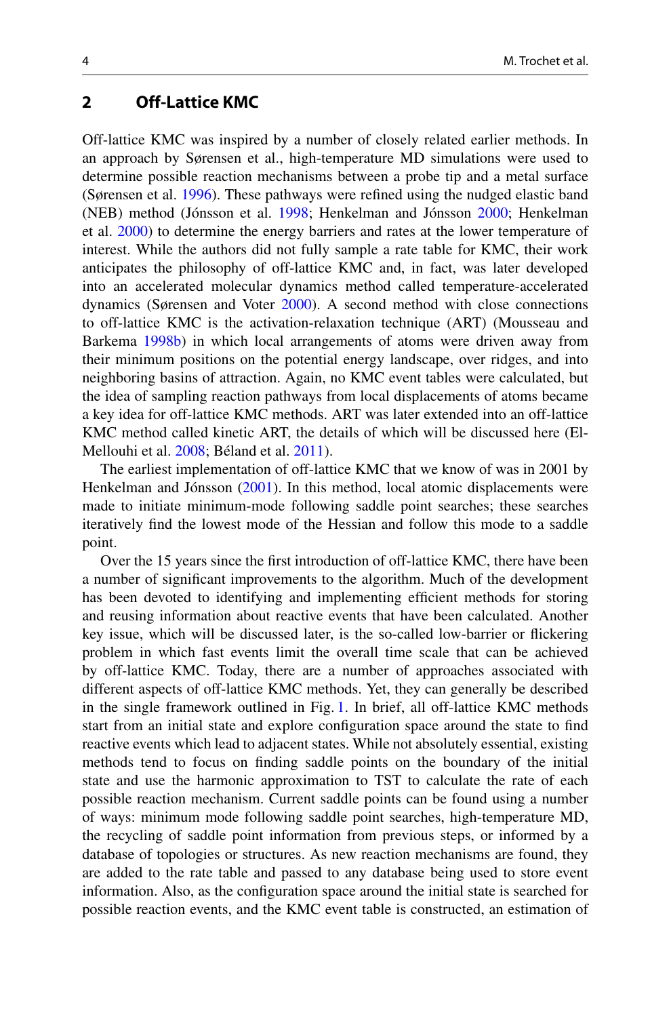# 2 Off-Lattice **KMC**

Off-lattice KMC was inspired by a number of closely related earlier methods. In an approach by Sørensen et al., high-temperature MD simulations were used to determine possible reaction mechanisms between a probe tip and a metal surface (Sørensen et al. 1996). These pathways were refined using the nudged elastic band (NEB) method (Jónsson et al. 1998; Henkelman and Jónsson 2000; Henkelman et al. 2000) to determine the energy barriers and rates at the lower temperature of interest. While the authors did not fully sample a rate table for KMC, their work anticipates the philosophy of off-lattice KMC and, in fact, was later developed into an accelerated molecular dynamics method called temperature-accelerated dynamics (Sørensen and Voter 2000). A second method with close connections to off-lattice KMC is the activation-relaxation technique (ART) (Mousseau and Barkema 1998b) in which local arrangements of atoms were driven away from their minimum positions on the potential energy landscape, over ridges, and into neighboring basins of attraction. Again, no KMC event tables were calculated, but the idea of sampling reaction pathways from local displacements of atoms became a key idea for off-lattice KMC methods. ART was later extended into an off-lattice KMC method called kinetic ART, the details of which will be discussed here (El-Mellouhi et al. 2008; Béland et al. 2011).

The earliest implementation of off-lattice KMC that we know of was in 2001 by Henkelman and Jónsson (2001). In this method, local atomic displacements were made to initiate minimum-mode following saddle point searches; these searches iteratively find the lowest mode of the Hessian and follow this mode to a saddle point.

Over the 15 years since the first introduction of off-lattice KMC, there have been a number of significant improvements to the algorithm. Much of the development has been devoted to identifying and implementing efficient methods for storing and reusing information about reactive events that have been calculated. Another key issue, which will be discussed later, is the so-called low-barrier or flickering problem in which fast events limit the overall time scale that can be achieved by off-lattice KMC. Today, there are a number of approaches associated with different aspects of off-lattice KMC methods. Yet, they can generally be described in the single framework outlined in Fig. 1. In brief, all off-lattice KMC methods start from an initial state and explore configuration space around the state to find reactive events which lead to adjacent states. While not absolutely essential, existing methods tend to focus on finding saddle points on the boundary of the initial state and use the harmonic approximation to TST to calculate the rate of each possible reaction mechanism. Current saddle points can be found using a number of ways: minimum mode following saddle point searches, high-temperature MD, the recycling of saddle point information from previous steps, or informed by a database of topologies or structures. As new reaction mechanisms are found, they are added to the rate table and passed to any database being used to store event information. Also, as the configuration space around the initial state is searched for possible reaction events, and the KMC event table is constructed, an estimation of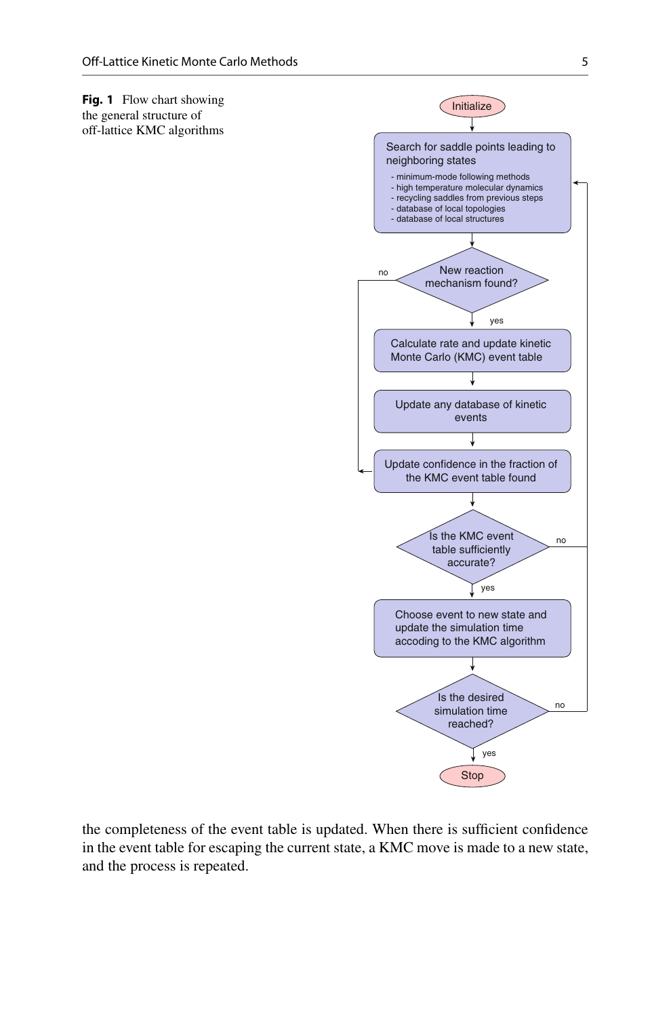**Fig. 1** Flow chart showing the general structure of off-lattice KMC algorithms



the completeness of the event table is updated. When there is sufficient confidence in the event table for escaping the current state, a KMC move is made to a new state, and the process is repeated.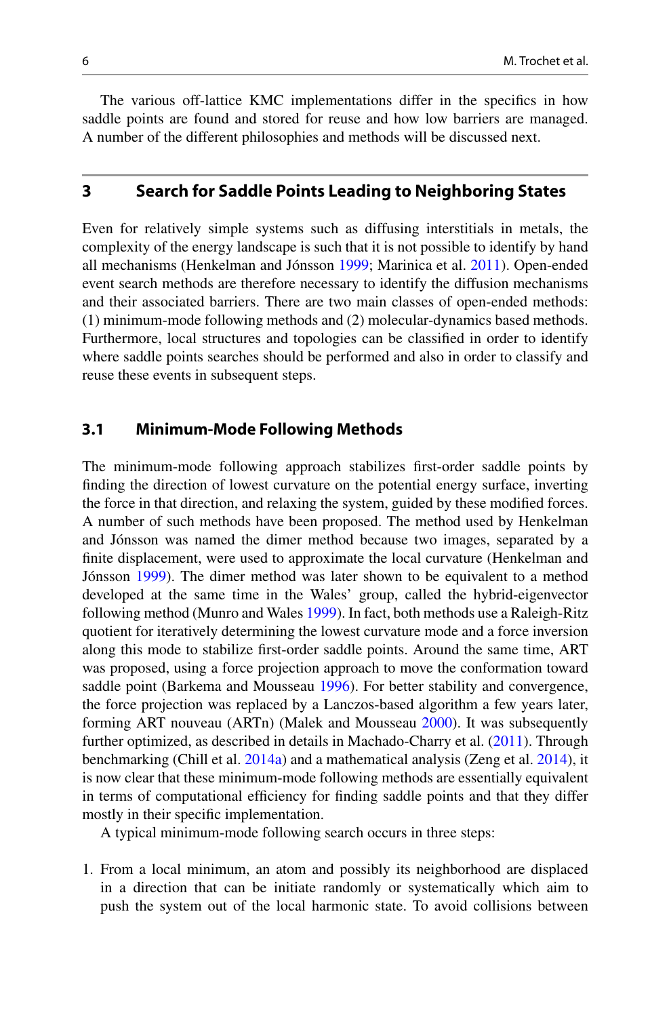The various off-lattice KMC implementations differ in the specifics in how saddle points are found and stored for reuse and how low barriers are managed. A number of the different philosophies and methods will be discussed next.

#### **3 Search for Saddle Points Leading to Neighboring States**

Even for relatively simple systems such as diffusing interstitials in metals, the complexity of the energy landscape is such that it is not possible to identify by hand all mechanisms (Henkelman and Jónsson 1999; Marinica et al. 2011). Open-ended event search methods are therefore necessary to identify the diffusion mechanisms and their associated barriers. There are two main classes of open-ended methods: (1) minimum-mode following methods and (2) molecular-dynamics based methods. Furthermore, local structures and topologies can be classified in order to identify where saddle points searches should be performed and also in order to classify and reuse these events in subsequent steps.

# **3.1 Minimum-Mode Following Methods**

The minimum-mode following approach stabilizes first-order saddle points by finding the direction of lowest curvature on the potential energy surface, inverting the force in that direction, and relaxing the system, guided by these modified forces. A number of such methods have been proposed. The method used by Henkelman and Jónsson was named the dimer method because two images, separated by a finite displacement, were used to approximate the local curvature (Henkelman and Jónsson 1999). The dimer method was later shown to be equivalent to a method developed at the same time in the Wales' group, called the hybrid-eigenvector following method (Munro and Wales 1999). In fact, both methods use a Raleigh-Ritz quotient for iteratively determining the lowest curvature mode and a force inversion along this mode to stabilize first-order saddle points. Around the same time, ART was proposed, using a force projection approach to move the conformation toward saddle point (Barkema and Mousseau 1996). For better stability and convergence, the force projection was replaced by a Lanczos-based algorithm a few years later, forming ART nouveau (ARTn) (Malek and Mousseau 2000). It was subsequently further optimized, as described in details in Machado-Charry et al. (2011). Through benchmarking (Chill et al. 2014a) and a mathematical analysis (Zeng et al. 2014), it is now clear that these minimum-mode following methods are essentially equivalent in terms of computational efficiency for finding saddle points and that they differ mostly in their specific implementation.

A typical minimum-mode following search occurs in three steps:

1. From a local minimum, an atom and possibly its neighborhood are displaced in a direction that can be initiate randomly or systematically which aim to push the system out of the local harmonic state. To avoid collisions between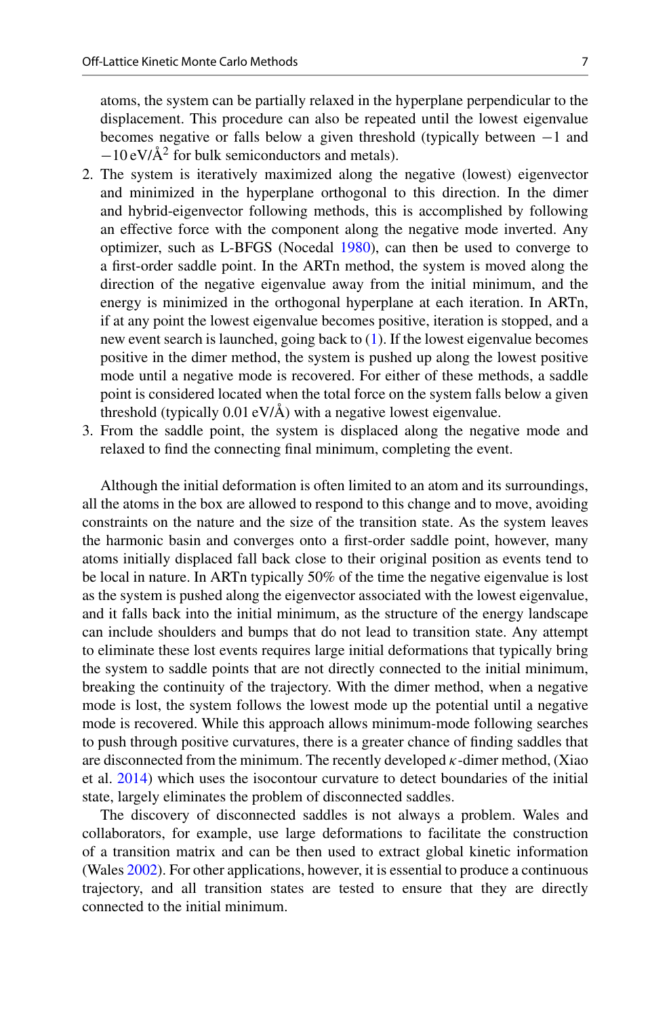atoms, the system can be partially relaxed in the hyperplane perpendicular to the displacement. This procedure can also be repeated until the lowest eigenvalue becomes negative or falls below a given threshold (typically between −1 and  $-10 \text{ eV}/\text{\AA}^2$  for bulk semiconductors and metals).

- 2. The system is iteratively maximized along the negative (lowest) eigenvector and minimized in the hyperplane orthogonal to this direction. In the dimer and hybrid-eigenvector following methods, this is accomplished by following an effective force with the component along the negative mode inverted. Any optimizer, such as L-BFGS (Nocedal 1980), can then be used to converge to a first-order saddle point. In the ARTn method, the system is moved along the direction of the negative eigenvalue away from the initial minimum, and the energy is minimized in the orthogonal hyperplane at each iteration. In ARTn, if at any point the lowest eigenvalue becomes positive, iteration is stopped, and a new event search is launched, going back to (1). If the lowest eigenvalue becomes positive in the dimer method, the system is pushed up along the lowest positive mode until a negative mode is recovered. For either of these methods, a saddle point is considered located when the total force on the system falls below a given threshold (typically 0.01 eV/Å) with a negative lowest eigenvalue.
- 3. From the saddle point, the system is displaced along the negative mode and relaxed to find the connecting final minimum, completing the event.

Although the initial deformation is often limited to an atom and its surroundings, all the atoms in the box are allowed to respond to this change and to move, avoiding constraints on the nature and the size of the transition state. As the system leaves the harmonic basin and converges onto a first-order saddle point, however, many atoms initially displaced fall back close to their original position as events tend to be local in nature. In ARTn typically 50% of the time the negative eigenvalue is lost as the system is pushed along the eigenvector associated with the lowest eigenvalue, and it falls back into the initial minimum, as the structure of the energy landscape can include shoulders and bumps that do not lead to transition state. Any attempt to eliminate these lost events requires large initial deformations that typically bring the system to saddle points that are not directly connected to the initial minimum, breaking the continuity of the trajectory. With the dimer method, when a negative mode is lost, the system follows the lowest mode up the potential until a negative mode is recovered. While this approach allows minimum-mode following searches to push through positive curvatures, there is a greater chance of finding saddles that are disconnected from the minimum. The recently developed *κ*-dimer method, (Xiao et al. 2014) which uses the isocontour curvature to detect boundaries of the initial state, largely eliminates the problem of disconnected saddles.

The discovery of disconnected saddles is not always a problem. Wales and collaborators, for example, use large deformations to facilitate the construction of a transition matrix and can be then used to extract global kinetic information (Wales 2002). For other applications, however, it is essential to produce a continuous trajectory, and all transition states are tested to ensure that they are directly connected to the initial minimum.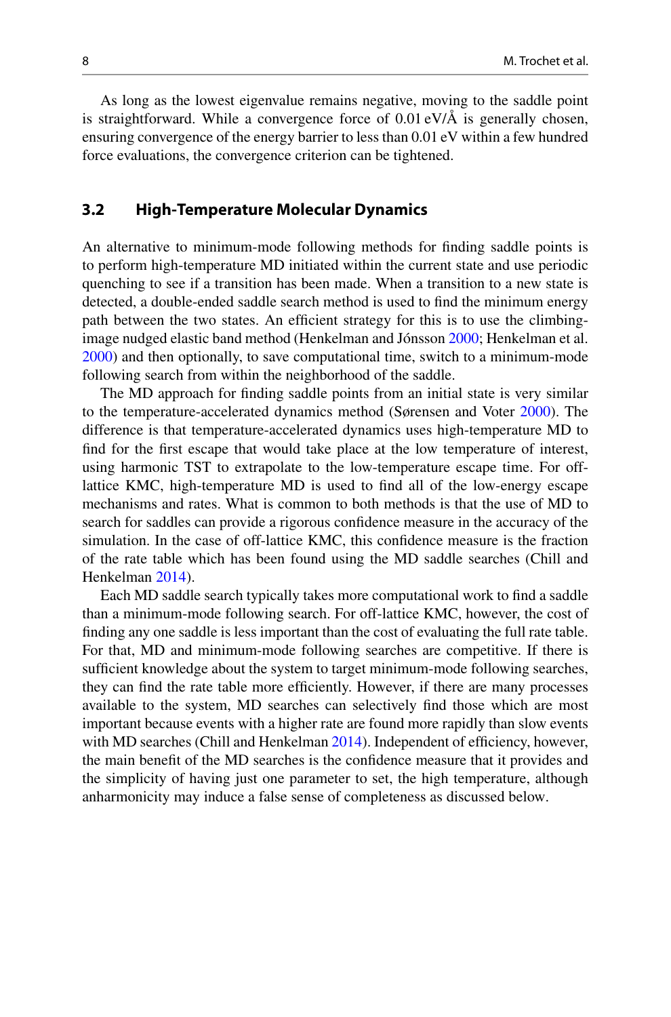As long as the lowest eigenvalue remains negative, moving to the saddle point is straightforward. While a convergence force of 0.01 eV/Å is generally chosen, ensuring convergence of the energy barrier to less than 0.01 eV within a few hundred force evaluations, the convergence criterion can be tightened.

## **3.2 High-Temperature Molecular Dynamics**

An alternative to minimum-mode following methods for finding saddle points is to perform high-temperature MD initiated within the current state and use periodic quenching to see if a transition has been made. When a transition to a new state is detected, a double-ended saddle search method is used to find the minimum energy path between the two states. An efficient strategy for this is to use the climbingimage nudged elastic band method (Henkelman and Jónsson 2000; Henkelman et al. 2000) and then optionally, to save computational time, switch to a minimum-mode following search from within the neighborhood of the saddle.

The MD approach for finding saddle points from an initial state is very similar to the temperature-accelerated dynamics method (Sørensen and Voter 2000). The difference is that temperature-accelerated dynamics uses high-temperature MD to find for the first escape that would take place at the low temperature of interest, using harmonic TST to extrapolate to the low-temperature escape time. For offlattice KMC, high-temperature MD is used to find all of the low-energy escape mechanisms and rates. What is common to both methods is that the use of MD to search for saddles can provide a rigorous confidence measure in the accuracy of the simulation. In the case of off-lattice KMC, this confidence measure is the fraction of the rate table which has been found using the MD saddle searches (Chill and Henkelman 2014).

Each MD saddle search typically takes more computational work to find a saddle than a minimum-mode following search. For off-lattice KMC, however, the cost of finding any one saddle is less important than the cost of evaluating the full rate table. For that, MD and minimum-mode following searches are competitive. If there is sufficient knowledge about the system to target minimum-mode following searches, they can find the rate table more efficiently. However, if there are many processes available to the system, MD searches can selectively find those which are most important because events with a higher rate are found more rapidly than slow events with MD searches (Chill and Henkelman 2014). Independent of efficiency, however, the main benefit of the MD searches is the confidence measure that it provides and the simplicity of having just one parameter to set, the high temperature, although anharmonicity may induce a false sense of completeness as discussed below.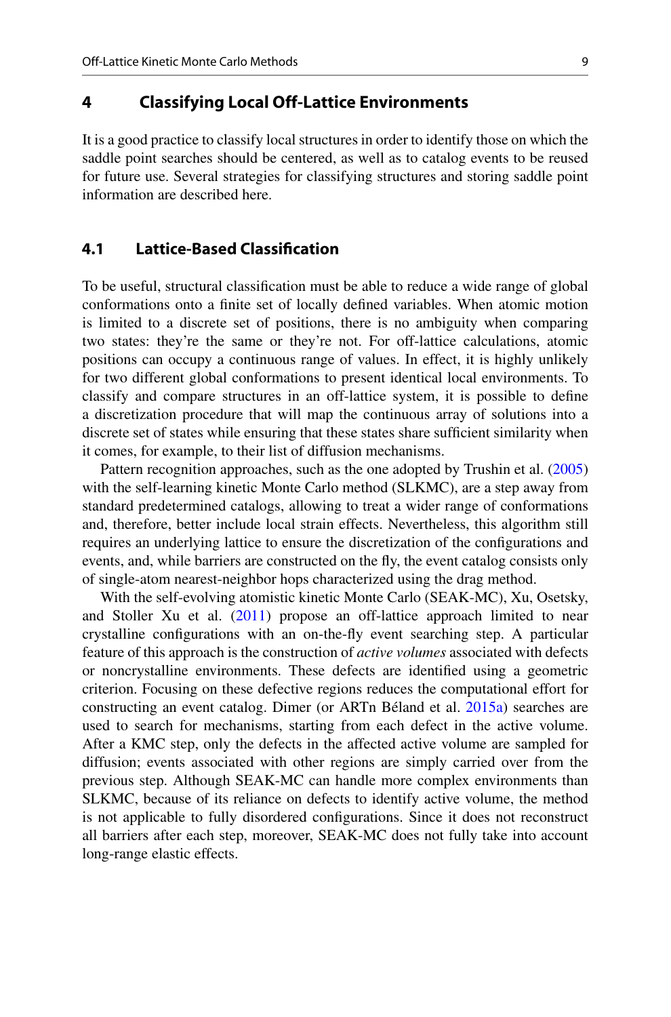# **4 Classifying Local Off-Lattice Environments**

It is a good practice to classify local structures in order to identify those on which the saddle point searches should be centered, as well as to catalog events to be reused for future use. Several strategies for classifying structures and storing saddle point information are described here.

# **4.1 Lattice-Based Classification**

To be useful, structural classification must be able to reduce a wide range of global conformations onto a finite set of locally defined variables. When atomic motion is limited to a discrete set of positions, there is no ambiguity when comparing two states: they're the same or they're not. For off-lattice calculations, atomic positions can occupy a continuous range of values. In effect, it is highly unlikely for two different global conformations to present identical local environments. To classify and compare structures in an off-lattice system, it is possible to define a discretization procedure that will map the continuous array of solutions into a discrete set of states while ensuring that these states share sufficient similarity when it comes, for example, to their list of diffusion mechanisms.

Pattern recognition approaches, such as the one adopted by Trushin et al. (2005) with the self-learning kinetic Monte Carlo method (SLKMC), are a step away from standard predetermined catalogs, allowing to treat a wider range of conformations and, therefore, better include local strain effects. Nevertheless, this algorithm still requires an underlying lattice to ensure the discretization of the configurations and events, and, while barriers are constructed on the fly, the event catalog consists only of single-atom nearest-neighbor hops characterized using the drag method.

With the self-evolving atomistic kinetic Monte Carlo (SEAK-MC), Xu, Osetsky, and Stoller Xu et al. (2011) propose an off-lattice approach limited to near crystalline configurations with an on-the-fly event searching step. A particular feature of this approach is the construction of *active volumes* associated with defects or noncrystalline environments. These defects are identified using a geometric criterion. Focusing on these defective regions reduces the computational effort for constructing an event catalog. Dimer (or ARTn Béland et al. 2015a) searches are used to search for mechanisms, starting from each defect in the active volume. After a KMC step, only the defects in the affected active volume are sampled for diffusion; events associated with other regions are simply carried over from the previous step. Although SEAK-MC can handle more complex environments than SLKMC, because of its reliance on defects to identify active volume, the method is not applicable to fully disordered configurations. Since it does not reconstruct all barriers after each step, moreover, SEAK-MC does not fully take into account long-range elastic effects.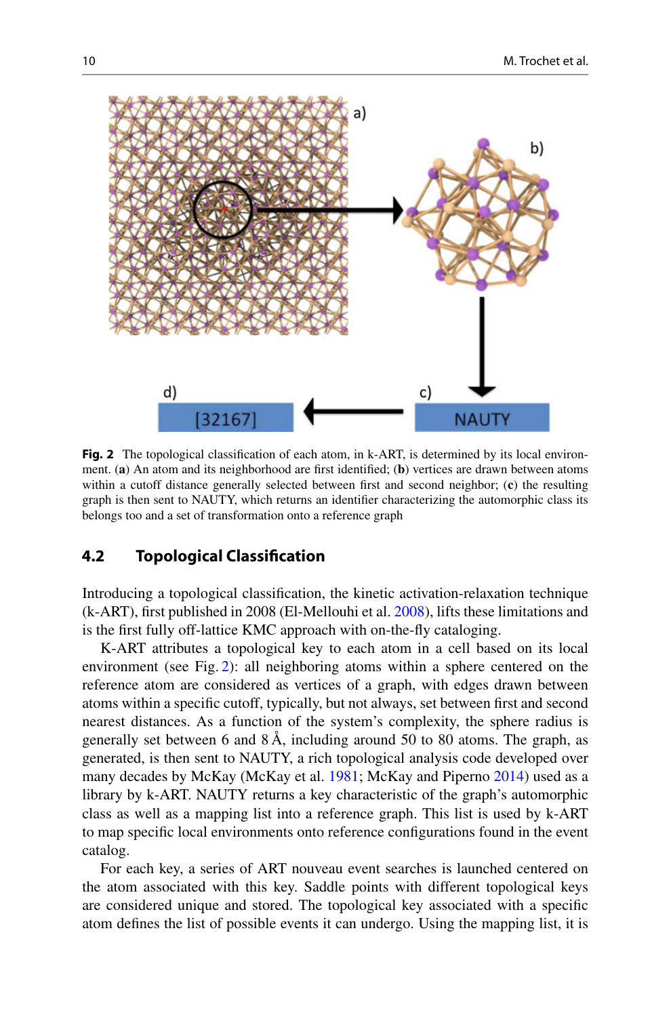

**Fig. 2** The topological classification of each atom, in k-ART, is determined by its local environment. (**a**) An atom and its neighborhood are first identified; (**b**) vertices are drawn between atoms within a cutoff distance generally selected between first and second neighbor; (**c**) the resulting graph is then sent to NAUTY, which returns an identifier characterizing the automorphic class its belongs too and a set of transformation onto a reference graph

# **4.2 Topological Classification**

Introducing a topological classification, the kinetic activation-relaxation technique (k-ART), first published in 2008 (El-Mellouhi et al. 2008), lifts these limitations and is the first fully off-lattice KMC approach with on-the-fly cataloging.

K-ART attributes a topological key to each atom in a cell based on its local environment (see Fig. 2): all neighboring atoms within a sphere centered on the reference atom are considered as vertices of a graph, with edges drawn between atoms within a specific cutoff, typically, but not always, set between first and second nearest distances. As a function of the system's complexity, the sphere radius is generally set between 6 and 8 Å, including around 50 to 80 atoms. The graph, as generated, is then sent to NAUTY, a rich topological analysis code developed over many decades by McKay (McKay et al. 1981; McKay and Piperno 2014) used as a library by k-ART. NAUTY returns a key characteristic of the graph's automorphic class as well as a mapping list into a reference graph. This list is used by k-ART to map specific local environments onto reference configurations found in the event catalog.

For each key, a series of ART nouveau event searches is launched centered on the atom associated with this key. Saddle points with different topological keys are considered unique and stored. The topological key associated with a specific atom defines the list of possible events it can undergo. Using the mapping list, it is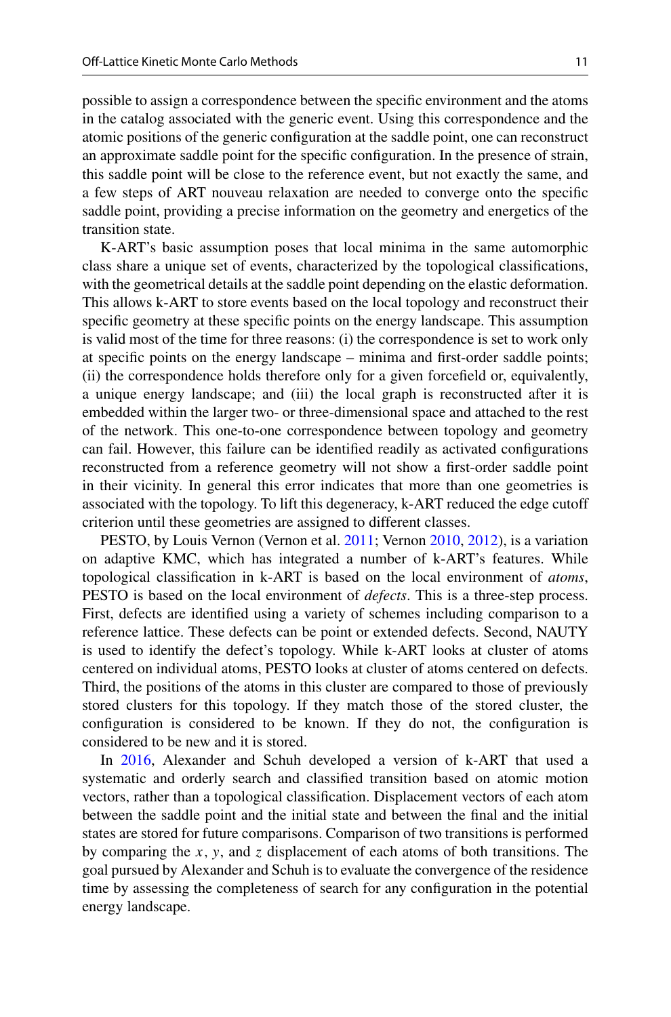possible to assign a correspondence between the specific environment and the atoms in the catalog associated with the generic event. Using this correspondence and the atomic positions of the generic configuration at the saddle point, one can reconstruct an approximate saddle point for the specific configuration. In the presence of strain, this saddle point will be close to the reference event, but not exactly the same, and a few steps of ART nouveau relaxation are needed to converge onto the specific saddle point, providing a precise information on the geometry and energetics of the transition state.

K-ART's basic assumption poses that local minima in the same automorphic class share a unique set of events, characterized by the topological classifications, with the geometrical details at the saddle point depending on the elastic deformation. This allows k-ART to store events based on the local topology and reconstruct their specific geometry at these specific points on the energy landscape. This assumption is valid most of the time for three reasons: (i) the correspondence is set to work only at specific points on the energy landscape – minima and first-order saddle points; (ii) the correspondence holds therefore only for a given forcefield or, equivalently, a unique energy landscape; and (iii) the local graph is reconstructed after it is embedded within the larger two- or three-dimensional space and attached to the rest of the network. This one-to-one correspondence between topology and geometry can fail. However, this failure can be identified readily as activated configurations reconstructed from a reference geometry will not show a first-order saddle point in their vicinity. In general this error indicates that more than one geometries is associated with the topology. To lift this degeneracy, k-ART reduced the edge cutoff criterion until these geometries are assigned to different classes.

PESTO, by Louis Vernon (Vernon et al. 2011; Vernon 2010, 2012), is a variation on adaptive KMC, which has integrated a number of k-ART's features. While topological classification in k-ART is based on the local environment of *atoms*, PESTO is based on the local environment of *defects*. This is a three-step process. First, defects are identified using a variety of schemes including comparison to a reference lattice. These defects can be point or extended defects. Second, NAUTY is used to identify the defect's topology. While k-ART looks at cluster of atoms centered on individual atoms, PESTO looks at cluster of atoms centered on defects. Third, the positions of the atoms in this cluster are compared to those of previously stored clusters for this topology. If they match those of the stored cluster, the configuration is considered to be known. If they do not, the configuration is considered to be new and it is stored.

In 2016, Alexander and Schuh developed a version of k-ART that used a systematic and orderly search and classified transition based on atomic motion vectors, rather than a topological classification. Displacement vectors of each atom between the saddle point and the initial state and between the final and the initial states are stored for future comparisons. Comparison of two transitions is performed by comparing the *x,y*, and *z* displacement of each atoms of both transitions. The goal pursued by Alexander and Schuh is to evaluate the convergence of the residence time by assessing the completeness of search for any configuration in the potential energy landscape.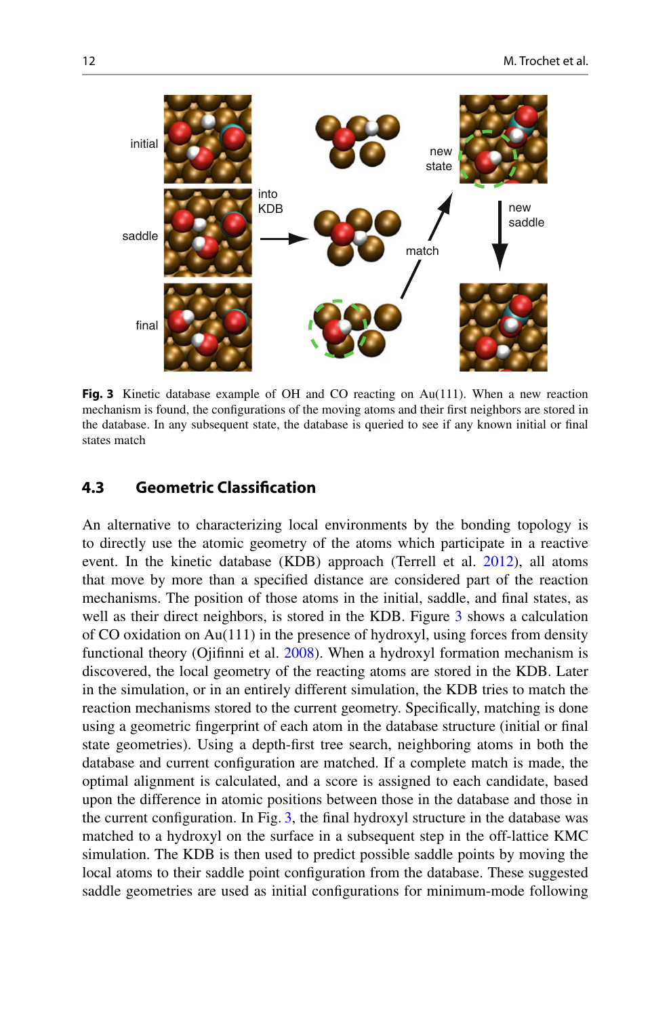

**Fig. 3** Kinetic database example of OH and CO reacting on Au(111). When a new reaction mechanism is found, the configurations of the moving atoms and their first neighbors are stored in the database. In any subsequent state, the database is queried to see if any known initial or final states match

# **4.3 Geometric Classification**

An alternative to characterizing local environments by the bonding topology is to directly use the atomic geometry of the atoms which participate in a reactive event. In the kinetic database (KDB) approach (Terrell et al. 2012), all atoms that move by more than a specified distance are considered part of the reaction mechanisms. The position of those atoms in the initial, saddle, and final states, as well as their direct neighbors, is stored in the KDB. Figure 3 shows a calculation of CO oxidation on Au(111) in the presence of hydroxyl, using forces from density functional theory (Ojifinni et al. 2008). When a hydroxyl formation mechanism is discovered, the local geometry of the reacting atoms are stored in the KDB. Later in the simulation, or in an entirely different simulation, the KDB tries to match the reaction mechanisms stored to the current geometry. Specifically, matching is done using a geometric fingerprint of each atom in the database structure (initial or final state geometries). Using a depth-first tree search, neighboring atoms in both the database and current configuration are matched. If a complete match is made, the optimal alignment is calculated, and a score is assigned to each candidate, based upon the difference in atomic positions between those in the database and those in the current configuration. In Fig. 3, the final hydroxyl structure in the database was matched to a hydroxyl on the surface in a subsequent step in the off-lattice KMC simulation. The KDB is then used to predict possible saddle points by moving the local atoms to their saddle point configuration from the database. These suggested saddle geometries are used as initial configurations for minimum-mode following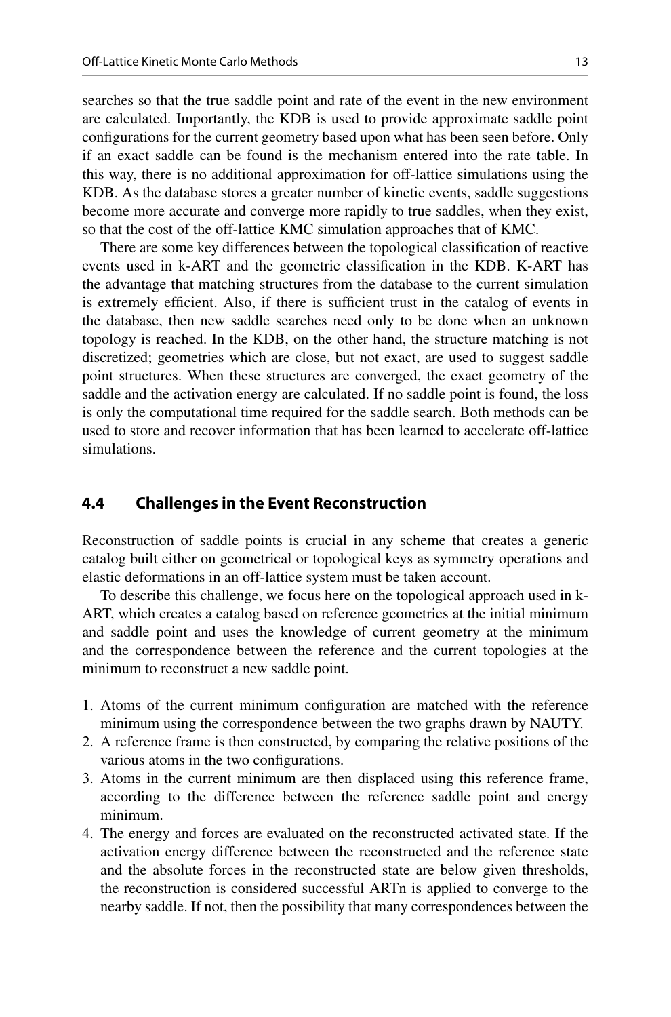searches so that the true saddle point and rate of the event in the new environment are calculated. Importantly, the KDB is used to provide approximate saddle point configurations for the current geometry based upon what has been seen before. Only if an exact saddle can be found is the mechanism entered into the rate table. In this way, there is no additional approximation for off-lattice simulations using the KDB. As the database stores a greater number of kinetic events, saddle suggestions become more accurate and converge more rapidly to true saddles, when they exist, so that the cost of the off-lattice KMC simulation approaches that of KMC.

There are some key differences between the topological classification of reactive events used in k-ART and the geometric classification in the KDB. K-ART has the advantage that matching structures from the database to the current simulation is extremely efficient. Also, if there is sufficient trust in the catalog of events in the database, then new saddle searches need only to be done when an unknown topology is reached. In the KDB, on the other hand, the structure matching is not discretized; geometries which are close, but not exact, are used to suggest saddle point structures. When these structures are converged, the exact geometry of the saddle and the activation energy are calculated. If no saddle point is found, the loss is only the computational time required for the saddle search. Both methods can be used to store and recover information that has been learned to accelerate off-lattice simulations.

# **4.4 Challenges in the Event Reconstruction**

Reconstruction of saddle points is crucial in any scheme that creates a generic catalog built either on geometrical or topological keys as symmetry operations and elastic deformations in an off-lattice system must be taken account.

To describe this challenge, we focus here on the topological approach used in k-ART, which creates a catalog based on reference geometries at the initial minimum and saddle point and uses the knowledge of current geometry at the minimum and the correspondence between the reference and the current topologies at the minimum to reconstruct a new saddle point.

- 1. Atoms of the current minimum configuration are matched with the reference minimum using the correspondence between the two graphs drawn by NAUTY.
- 2. A reference frame is then constructed, by comparing the relative positions of the various atoms in the two configurations.
- 3. Atoms in the current minimum are then displaced using this reference frame, according to the difference between the reference saddle point and energy minimum.
- 4. The energy and forces are evaluated on the reconstructed activated state. If the activation energy difference between the reconstructed and the reference state and the absolute forces in the reconstructed state are below given thresholds, the reconstruction is considered successful ARTn is applied to converge to the nearby saddle. If not, then the possibility that many correspondences between the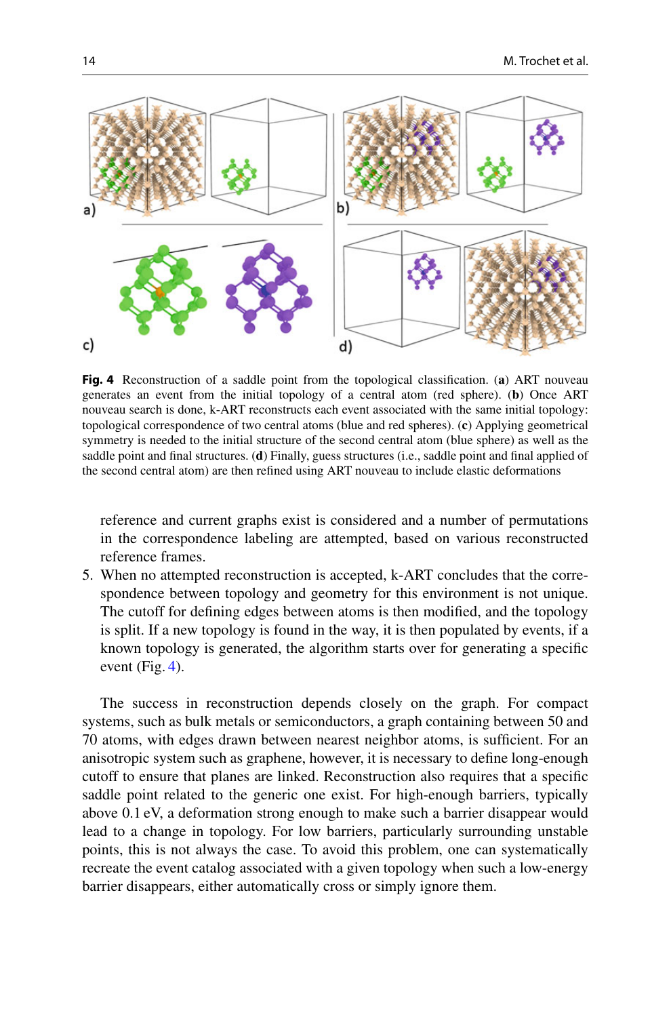

**Fig. 4** Reconstruction of a saddle point from the topological classification. (**a**) ART nouveau generates an event from the initial topology of a central atom (red sphere). (**b**) Once ART nouveau search is done, k-ART reconstructs each event associated with the same initial topology: topological correspondence of two central atoms (blue and red spheres). (**c**) Applying geometrical symmetry is needed to the initial structure of the second central atom (blue sphere) as well as the saddle point and final structures. (**d**) Finally, guess structures (i.e., saddle point and final applied of the second central atom) are then refined using ART nouveau to include elastic deformations

reference and current graphs exist is considered and a number of permutations in the correspondence labeling are attempted, based on various reconstructed reference frames.

5. When no attempted reconstruction is accepted, k-ART concludes that the correspondence between topology and geometry for this environment is not unique. The cutoff for defining edges between atoms is then modified, and the topology is split. If a new topology is found in the way, it is then populated by events, if a known topology is generated, the algorithm starts over for generating a specific event (Fig. 4).

The success in reconstruction depends closely on the graph. For compact systems, such as bulk metals or semiconductors, a graph containing between 50 and 70 atoms, with edges drawn between nearest neighbor atoms, is sufficient. For an anisotropic system such as graphene, however, it is necessary to define long-enough cutoff to ensure that planes are linked. Reconstruction also requires that a specific saddle point related to the generic one exist. For high-enough barriers, typically above 0.1 eV, a deformation strong enough to make such a barrier disappear would lead to a change in topology. For low barriers, particularly surrounding unstable points, this is not always the case. To avoid this problem, one can systematically recreate the event catalog associated with a given topology when such a low-energy barrier disappears, either automatically cross or simply ignore them.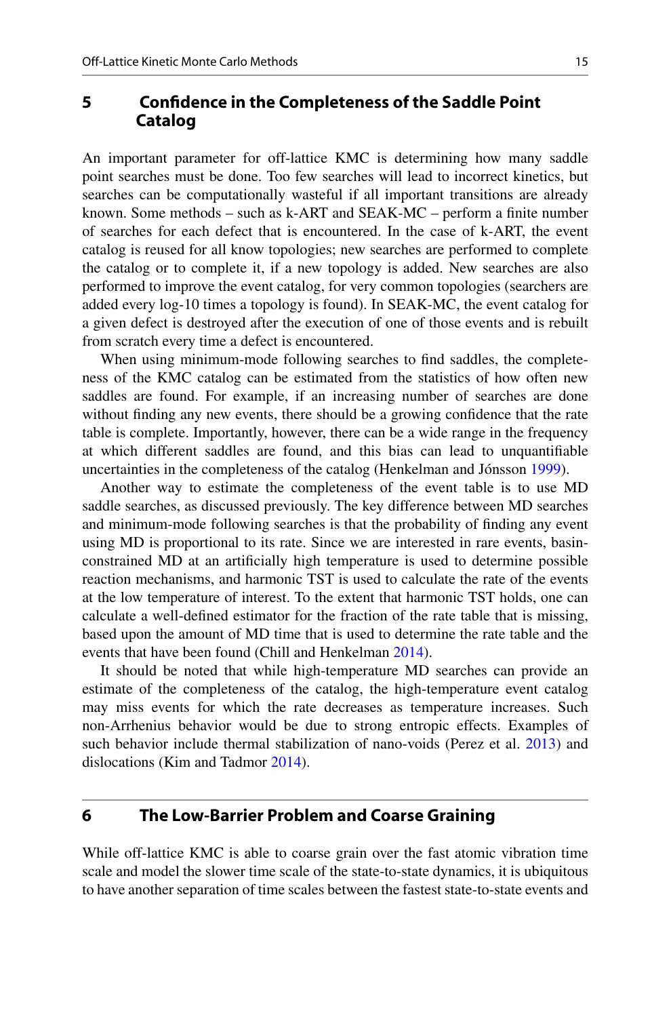# **5 Confidence in the Completeness of the Saddle Point Catalog**

An important parameter for off-lattice KMC is determining how many saddle point searches must be done. Too few searches will lead to incorrect kinetics, but searches can be computationally wasteful if all important transitions are already known. Some methods – such as k-ART and SEAK-MC – perform a finite number of searches for each defect that is encountered. In the case of k-ART, the event catalog is reused for all know topologies; new searches are performed to complete the catalog or to complete it, if a new topology is added. New searches are also performed to improve the event catalog, for very common topologies (searchers are added every log-10 times a topology is found). In SEAK-MC, the event catalog for a given defect is destroyed after the execution of one of those events and is rebuilt from scratch every time a defect is encountered.

When using minimum-mode following searches to find saddles, the completeness of the KMC catalog can be estimated from the statistics of how often new saddles are found. For example, if an increasing number of searches are done without finding any new events, there should be a growing confidence that the rate table is complete. Importantly, however, there can be a wide range in the frequency at which different saddles are found, and this bias can lead to unquantifiable uncertainties in the completeness of the catalog (Henkelman and Jónsson 1999).

Another way to estimate the completeness of the event table is to use MD saddle searches, as discussed previously. The key difference between MD searches and minimum-mode following searches is that the probability of finding any event using MD is proportional to its rate. Since we are interested in rare events, basinconstrained MD at an artificially high temperature is used to determine possible reaction mechanisms, and harmonic TST is used to calculate the rate of the events at the low temperature of interest. To the extent that harmonic TST holds, one can calculate a well-defined estimator for the fraction of the rate table that is missing, based upon the amount of MD time that is used to determine the rate table and the events that have been found (Chill and Henkelman 2014).

It should be noted that while high-temperature MD searches can provide an estimate of the completeness of the catalog, the high-temperature event catalog may miss events for which the rate decreases as temperature increases. Such non-Arrhenius behavior would be due to strong entropic effects. Examples of such behavior include thermal stabilization of nano-voids (Perez et al. 2013) and dislocations (Kim and Tadmor 2014).

#### **6 The Low-Barrier Problem and Coarse Graining**

While off-lattice KMC is able to coarse grain over the fast atomic vibration time scale and model the slower time scale of the state-to-state dynamics, it is ubiquitous to have another separation of time scales between the fastest state-to-state events and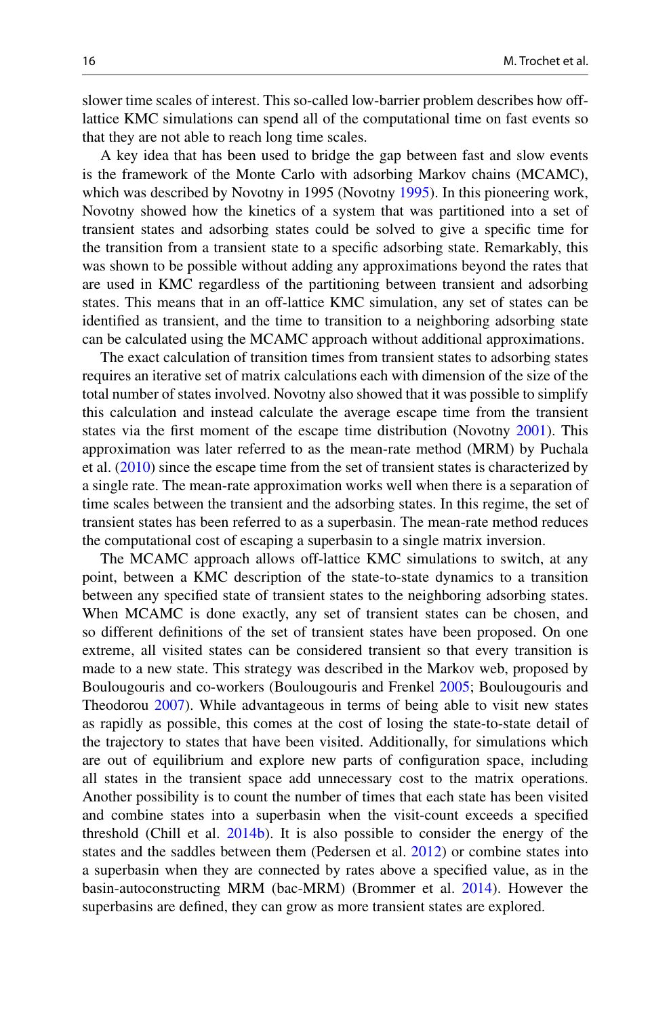slower time scales of interest. This so-called low-barrier problem describes how offlattice KMC simulations can spend all of the computational time on fast events so that they are not able to reach long time scales.

A key idea that has been used to bridge the gap between fast and slow events is the framework of the Monte Carlo with adsorbing Markov chains (MCAMC), which was described by Novotny in 1995 (Novotny 1995). In this pioneering work, Novotny showed how the kinetics of a system that was partitioned into a set of transient states and adsorbing states could be solved to give a specific time for the transition from a transient state to a specific adsorbing state. Remarkably, this was shown to be possible without adding any approximations beyond the rates that are used in KMC regardless of the partitioning between transient and adsorbing states. This means that in an off-lattice KMC simulation, any set of states can be identified as transient, and the time to transition to a neighboring adsorbing state can be calculated using the MCAMC approach without additional approximations.

The exact calculation of transition times from transient states to adsorbing states requires an iterative set of matrix calculations each with dimension of the size of the total number of states involved. Novotny also showed that it was possible to simplify this calculation and instead calculate the average escape time from the transient states via the first moment of the escape time distribution (Novotny 2001). This approximation was later referred to as the mean-rate method (MRM) by Puchala et al. (2010) since the escape time from the set of transient states is characterized by a single rate. The mean-rate approximation works well when there is a separation of time scales between the transient and the adsorbing states. In this regime, the set of transient states has been referred to as a superbasin. The mean-rate method reduces the computational cost of escaping a superbasin to a single matrix inversion.

The MCAMC approach allows off-lattice KMC simulations to switch, at any point, between a KMC description of the state-to-state dynamics to a transition between any specified state of transient states to the neighboring adsorbing states. When MCAMC is done exactly, any set of transient states can be chosen, and so different definitions of the set of transient states have been proposed. On one extreme, all visited states can be considered transient so that every transition is made to a new state. This strategy was described in the Markov web, proposed by Boulougouris and co-workers (Boulougouris and Frenkel 2005; Boulougouris and Theodorou 2007). While advantageous in terms of being able to visit new states as rapidly as possible, this comes at the cost of losing the state-to-state detail of the trajectory to states that have been visited. Additionally, for simulations which are out of equilibrium and explore new parts of configuration space, including all states in the transient space add unnecessary cost to the matrix operations. Another possibility is to count the number of times that each state has been visited and combine states into a superbasin when the visit-count exceeds a specified threshold (Chill et al.  $2014b$ ). It is also possible to consider the energy of the states and the saddles between them (Pedersen et al. 2012) or combine states into a superbasin when they are connected by rates above a specified value, as in the basin-autoconstructing MRM (bac-MRM) (Brommer et al. 2014). However the superbasins are defined, they can grow as more transient states are explored.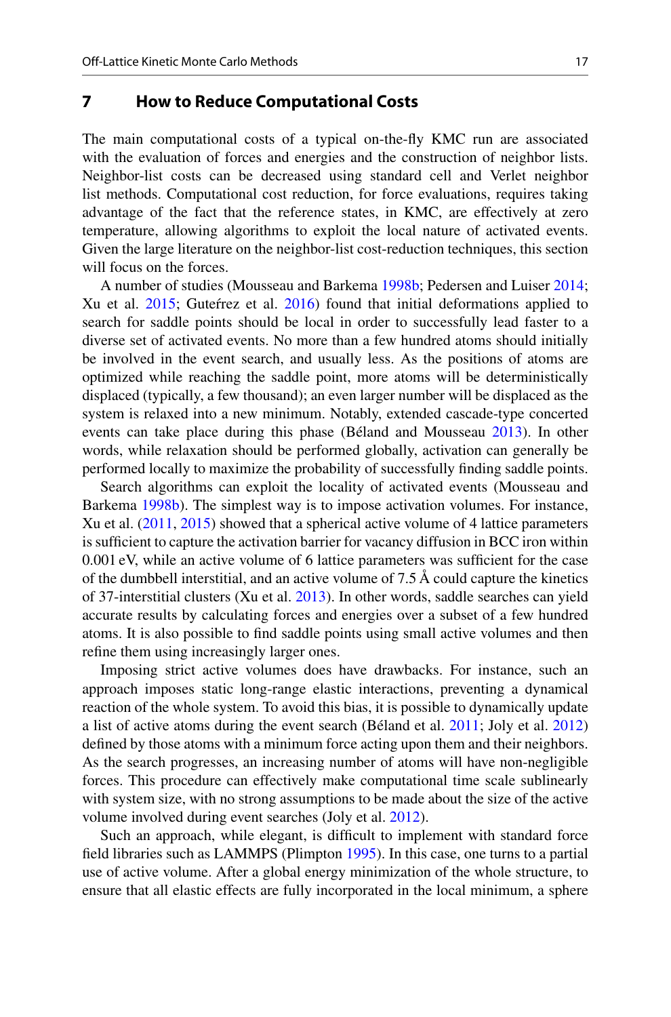# **7 How to Reduce Computational Costs**

The main computational costs of a typical on-the-fly KMC run are associated with the evaluation of forces and energies and the construction of neighbor lists. Neighbor-list costs can be decreased using standard cell and Verlet neighbor list methods. Computational cost reduction, for force evaluations, requires taking advantage of the fact that the reference states, in KMC, are effectively at zero temperature, allowing algorithms to exploit the local nature of activated events. Given the large literature on the neighbor-list cost-reduction techniques, this section will focus on the forces.

A number of studies (Mousseau and Barkema 1998b; Pedersen and Luiser 2014; Xu et al.  $2015$ ; Guterrez et al.  $2016$ ) found that initial deformations applied to search for saddle points should be local in order to successfully lead faster to a diverse set of activated events. No more than a few hundred atoms should initially be involved in the event search, and usually less. As the positions of atoms are optimized while reaching the saddle point, more atoms will be deterministically displaced (typically, a few thousand); an even larger number will be displaced as the system is relaxed into a new minimum. Notably, extended cascade-type concerted events can take place during this phase (Béland and Mousseau 2013). In other words, while relaxation should be performed globally, activation can generally be performed locally to maximize the probability of successfully finding saddle points.

Search algorithms can exploit the locality of activated events (Mousseau and Barkema 1998b). The simplest way is to impose activation volumes. For instance, Xu et al. (2011, 2015) showed that a spherical active volume of 4 lattice parameters is sufficient to capture the activation barrier for vacancy diffusion in BCC iron within 0.001 eV, while an active volume of 6 lattice parameters was sufficient for the case of the dumbbell interstitial, and an active volume of  $7.5 \text{ Å}$  could capture the kinetics of 37-interstitial clusters (Xu et al. 2013). In other words, saddle searches can yield accurate results by calculating forces and energies over a subset of a few hundred atoms. It is also possible to find saddle points using small active volumes and then refine them using increasingly larger ones.

Imposing strict active volumes does have drawbacks. For instance, such an approach imposes static long-range elastic interactions, preventing a dynamical reaction of the whole system. To avoid this bias, it is possible to dynamically update a list of active atoms during the event search (Béland et al. 2011; Joly et al. 2012) defined by those atoms with a minimum force acting upon them and their neighbors. As the search progresses, an increasing number of atoms will have non-negligible forces. This procedure can effectively make computational time scale sublinearly with system size, with no strong assumptions to be made about the size of the active volume involved during event searches (Joly et al. 2012).

Such an approach, while elegant, is difficult to implement with standard force field libraries such as LAMMPS (Plimpton 1995). In this case, one turns to a partial use of active volume. After a global energy minimization of the whole structure, to ensure that all elastic effects are fully incorporated in the local minimum, a sphere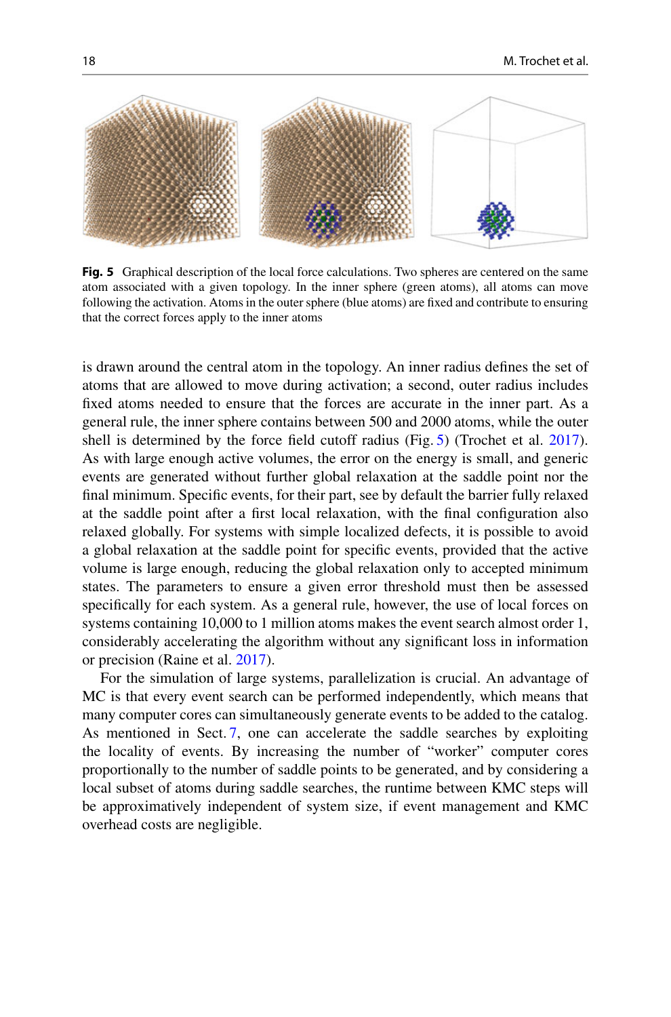

**Fig. 5** Graphical description of the local force calculations. Two spheres are centered on the same atom associated with a given topology. In the inner sphere (green atoms), all atoms can move following the activation. Atoms in the outer sphere (blue atoms) are fixed and contribute to ensuring that the correct forces apply to the inner atoms

is drawn around the central atom in the topology. An inner radius defines the set of atoms that are allowed to move during activation; a second, outer radius includes fixed atoms needed to ensure that the forces are accurate in the inner part. As a general rule, the inner sphere contains between 500 and 2000 atoms, while the outer shell is determined by the force field cutoff radius (Fig. 5) (Trochet et al. 2017). As with large enough active volumes, the error on the energy is small, and generic events are generated without further global relaxation at the saddle point nor the final minimum. Specific events, for their part, see by default the barrier fully relaxed at the saddle point after a first local relaxation, with the final configuration also relaxed globally. For systems with simple localized defects, it is possible to avoid a global relaxation at the saddle point for specific events, provided that the active volume is large enough, reducing the global relaxation only to accepted minimum states. The parameters to ensure a given error threshold must then be assessed specifically for each system. As a general rule, however, the use of local forces on systems containing 10,000 to 1 million atoms makes the event search almost order 1, considerably accelerating the algorithm without any significant loss in information or precision (Raine et al. 2017).

For the simulation of large systems, parallelization is crucial. An advantage of MC is that every event search can be performed independently, which means that many computer cores can simultaneously generate events to be added to the catalog. As mentioned in Sect. 7, one can accelerate the saddle searches by exploiting the locality of events. By increasing the number of "worker" computer cores proportionally to the number of saddle points to be generated, and by considering a local subset of atoms during saddle searches, the runtime between KMC steps will be approximatively independent of system size, if event management and KMC overhead costs are negligible.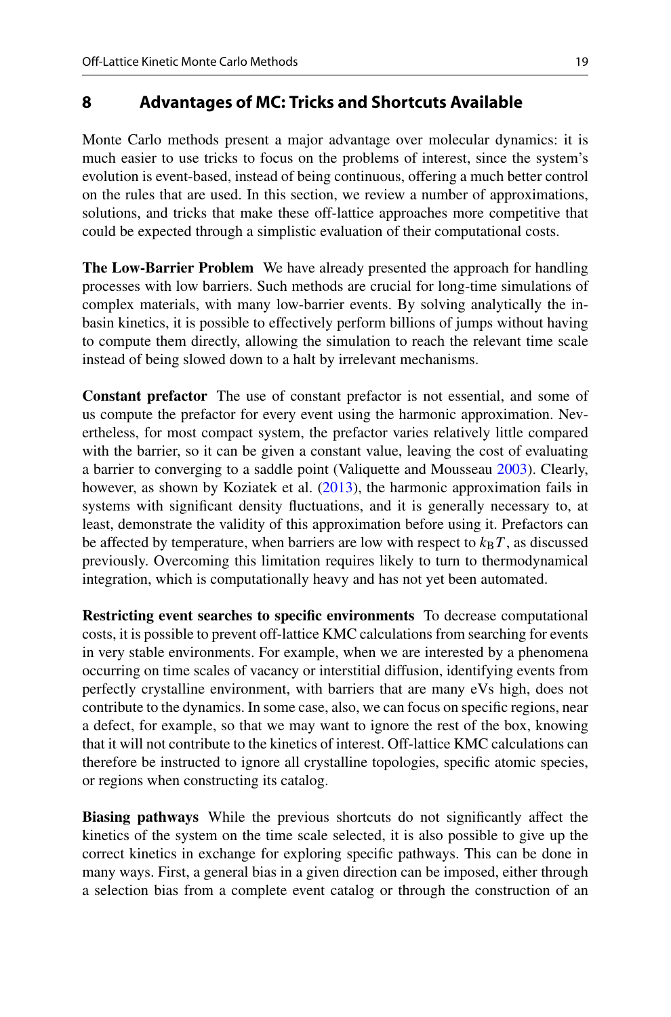# **8 Advantages of MC: Tricks and Shortcuts Available**

Monte Carlo methods present a major advantage over molecular dynamics: it is much easier to use tricks to focus on the problems of interest, since the system's evolution is event-based, instead of being continuous, offering a much better control on the rules that are used. In this section, we review a number of approximations, solutions, and tricks that make these off-lattice approaches more competitive that could be expected through a simplistic evaluation of their computational costs.

**The Low-Barrier Problem** We have already presented the approach for handling processes with low barriers. Such methods are crucial for long-time simulations of complex materials, with many low-barrier events. By solving analytically the inbasin kinetics, it is possible to effectively perform billions of jumps without having to compute them directly, allowing the simulation to reach the relevant time scale instead of being slowed down to a halt by irrelevant mechanisms.

**Constant prefactor** The use of constant prefactor is not essential, and some of us compute the prefactor for every event using the harmonic approximation. Nevertheless, for most compact system, the prefactor varies relatively little compared with the barrier, so it can be given a constant value, leaving the cost of evaluating a barrier to converging to a saddle point (Valiquette and Mousseau 2003). Clearly, however, as shown by Koziatek et al. (2013), the harmonic approximation fails in systems with significant density fluctuations, and it is generally necessary to, at least, demonstrate the validity of this approximation before using it. Prefactors can be affected by temperature, when barriers are low with respect to  $k_B T$ , as discussed previously. Overcoming this limitation requires likely to turn to thermodynamical integration, which is computationally heavy and has not yet been automated.

**Restricting event searches to specific environments** To decrease computational costs, it is possible to prevent off-lattice KMC calculations from searching for events in very stable environments. For example, when we are interested by a phenomena occurring on time scales of vacancy or interstitial diffusion, identifying events from perfectly crystalline environment, with barriers that are many eVs high, does not contribute to the dynamics. In some case, also, we can focus on specific regions, near a defect, for example, so that we may want to ignore the rest of the box, knowing that it will not contribute to the kinetics of interest. Off-lattice KMC calculations can therefore be instructed to ignore all crystalline topologies, specific atomic species, or regions when constructing its catalog.

**Biasing pathways** While the previous shortcuts do not significantly affect the kinetics of the system on the time scale selected, it is also possible to give up the correct kinetics in exchange for exploring specific pathways. This can be done in many ways. First, a general bias in a given direction can be imposed, either through a selection bias from a complete event catalog or through the construction of an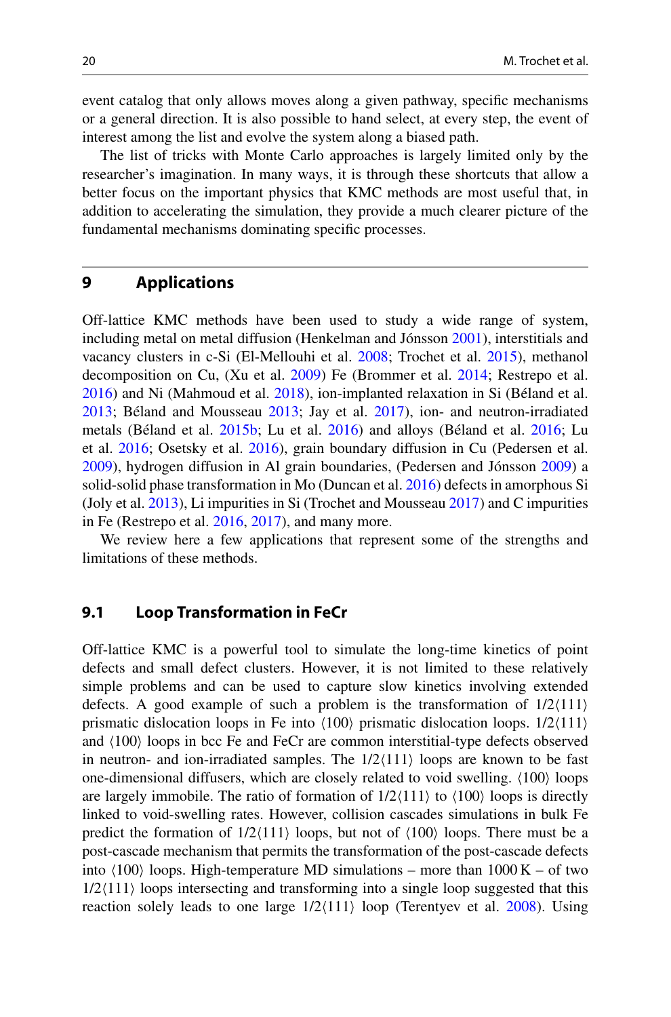event catalog that only allows moves along a given pathway, specific mechanisms or a general direction. It is also possible to hand select, at every step, the event of interest among the list and evolve the system along a biased path.

The list of tricks with Monte Carlo approaches is largely limited only by the researcher's imagination. In many ways, it is through these shortcuts that allow a better focus on the important physics that KMC methods are most useful that, in addition to accelerating the simulation, they provide a much clearer picture of the fundamental mechanisms dominating specific processes.

## **9 Applications**

Off-lattice KMC methods have been used to study a wide range of system, including metal on metal diffusion (Henkelman and Jónsson 2001), interstitials and vacancy clusters in c-Si (El-Mellouhi et al. 2008; Trochet et al. 2015), methanol decomposition on Cu, (Xu et al. 2009) Fe (Brommer et al. 2014; Restrepo et al. 2016) and Ni (Mahmoud et al. 2018), ion-implanted relaxation in Si (Béland et al. 2013; Béland and Mousseau 2013; Jay et al. 2017), ion- and neutron-irradiated metals (Béland et al. 2015b; Lu et al. 2016) and alloys (Béland et al. 2016; Lu et al. 2016; Osetsky et al. 2016), grain boundary diffusion in Cu (Pedersen et al. 2009), hydrogen diffusion in Al grain boundaries, (Pedersen and Jónsson 2009) a solid-solid phase transformation in Mo (Duncan et al. 2016) defects in amorphous Si (Joly et al. 2013), Li impurities in Si (Trochet and Mousseau 2017) and C impurities in Fe (Restrepo et al. 2016, 2017), and many more.

We review here a few applications that represent some of the strengths and limitations of these methods.

# **9.1 Loop Transformation in FeCr**

Off-lattice KMC is a powerful tool to simulate the long-time kinetics of point defects and small defect clusters. However, it is not limited to these relatively simple problems and can be used to capture slow kinetics involving extended defects. A good example of such a problem is the transformation of  $1/2\langle 111 \rangle$ prismatic dislocation loops in Fe into  $\langle 100 \rangle$  prismatic dislocation loops. 1/2 $\langle 111 \rangle$ and  $\langle 100 \rangle$  loops in bcc Fe and FeCr are common interstitial-type defects observed in neutron- and ion-irradiated samples. The  $1/2(111)$  loops are known to be fast one-dimensional diffusers, which are closely related to void swelling.  $\langle 100 \rangle$  loops are largely immobile. The ratio of formation of  $1/2(111)$  to  $\langle 100 \rangle$  loops is directly linked to void-swelling rates. However, collision cascades simulations in bulk Fe predict the formation of  $1/2\langle 111 \rangle$  loops, but not of  $\langle 100 \rangle$  loops. There must be a post-cascade mechanism that permits the transformation of the post-cascade defects into  $\langle 100 \rangle$  loops. High-temperature MD simulations – more than  $1000 \text{ K}$  – of two  $1/2\langle 111 \rangle$  loops intersecting and transforming into a single loop suggested that this reaction solely leads to one large  $1/2(111)$  loop (Terentyev et al. 2008). Using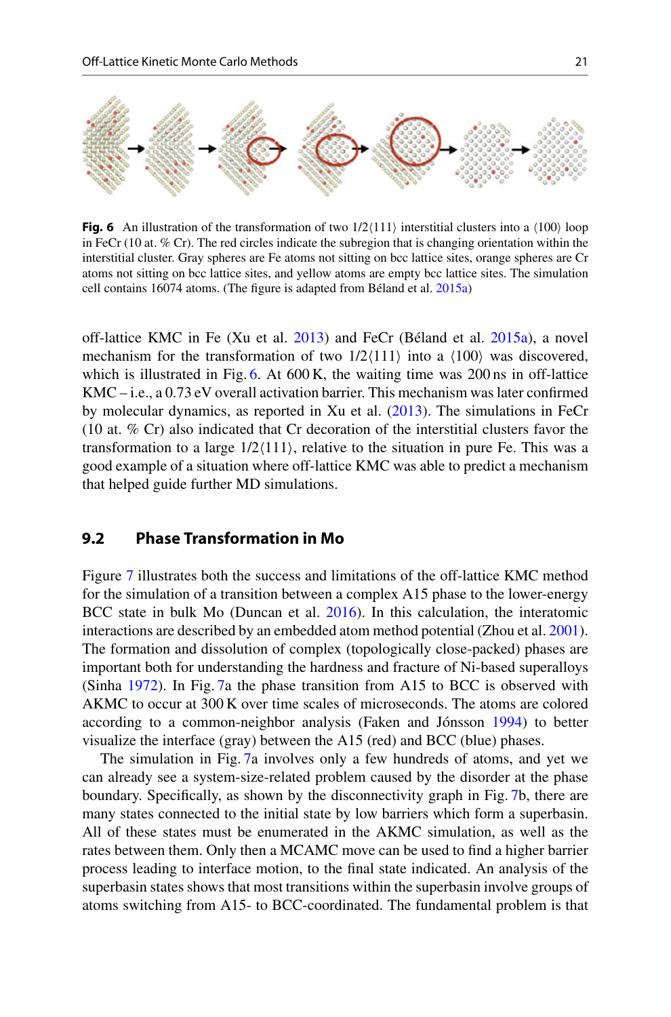

**Fig. 6** An illustration of the transformation of two  $1/2(111)$  interstitial clusters into a  $(100)$  loop in FeCr (10 at.  $\%$  Cr). The red circles indicate the subregion that is changing orientation within the interstitial cluster. Gray spheres are Fe atoms not sitting on bcc lattice sites, orange spheres are Cr atoms not sitting on bcc lattice sites, and yellow atoms are empty bcc lattice sites. The simulation cell contains 16074 atoms. (The figure is adapted from Béland et al. 2015a)

off-lattice KMC in Fe (Xu et al. 2013) and FeCr (Béland et al. 2015a), a novel mechanism for the transformation of two  $1/2(111)$  into a  $\langle 100 \rangle$  was discovered, which is illustrated in Fig. 6. At 600 K, the waiting time was 200 ns in off-lattice  $KMC - i.e., a 0.73 eV over all activation barrier. This mechanism was later confirmed$ by molecular dynamics, as reported in Xu et al. (2013). The simulations in FeCr (10 at. % Cr) also indicated that Cr decoration of the interstitial clusters favor the transformation to a large  $1/2\langle 111 \rangle$ , relative to the situation in pure Fe. This was a good example of a situation where off-lattice KMC was able to predict a mechanism that helped guide further MD simulations.

# **9.2 Phase Transformation in Mo**

Figure 7 illustrates both the success and limitations of the off-lattice KMC method for the simulation of a transition between a complex A15 phase to the lower-energy BCC state in bulk Mo (Duncan et al. 2016). In this calculation, the interatomic interactions are described by an embedded atom method potential (Zhou et al. 2001). The formation and dissolution of complex (topologically close-packed) phases are important both for understanding the hardness and fracture of Ni-based superalloys (Sinha 1972). In Fig. 7a the phase transition from A15 to BCC is observed with AKMC to occur at 300 K over time scales of microseconds. The atoms are colored according to a common-neighbor analysis (Faken and Jónsson 1994) to better visualize the interface (gray) between the A15 (red) and BCC (blue) phases.

The simulation in Fig. 7a involves only a few hundreds of atoms, and yet we can already see a system-size-related problem caused by the disorder at the phase boundary. Specifically, as shown by the disconnectivity graph in Fig. 7b, there are many states connected to the initial state by low barriers which form a superbasin. All of these states must be enumerated in the AKMC simulation, as well as the rates between them. Only then a MCAMC move can be used to find a higher barrier process leading to interface motion, to the final state indicated. An analysis of the superbasin states shows that most transitions within the superbasin involve groups of atoms switching from A15- to BCC-coordinated. The fundamental problem is that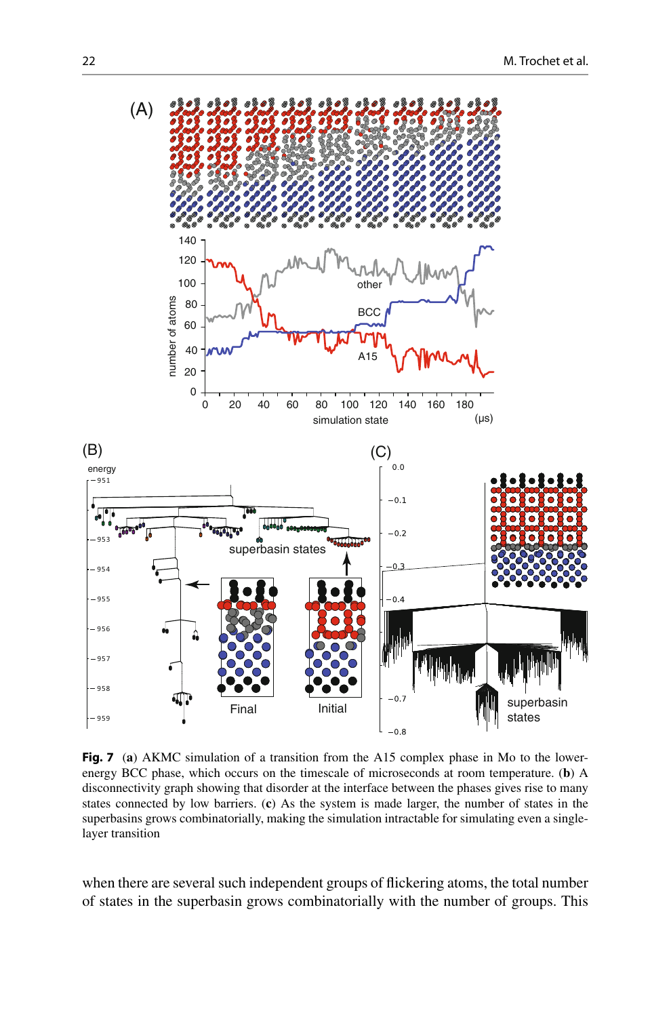

**Fig. 7** (**a**) AKMC simulation of a transition from the A15 complex phase in Mo to the lowerenergy BCC phase, which occurs on the timescale of microseconds at room temperature. (**b**) A disconnectivity graph showing that disorder at the interface between the phases gives rise to many states connected by low barriers. (**c**) As the system is made larger, the number of states in the superbasins grows combinatorially, making the simulation intractable for simulating even a singlelayer transition

when there are several such independent groups of flickering atoms, the total number of states in the superbasin grows combinatorially with the number of groups. This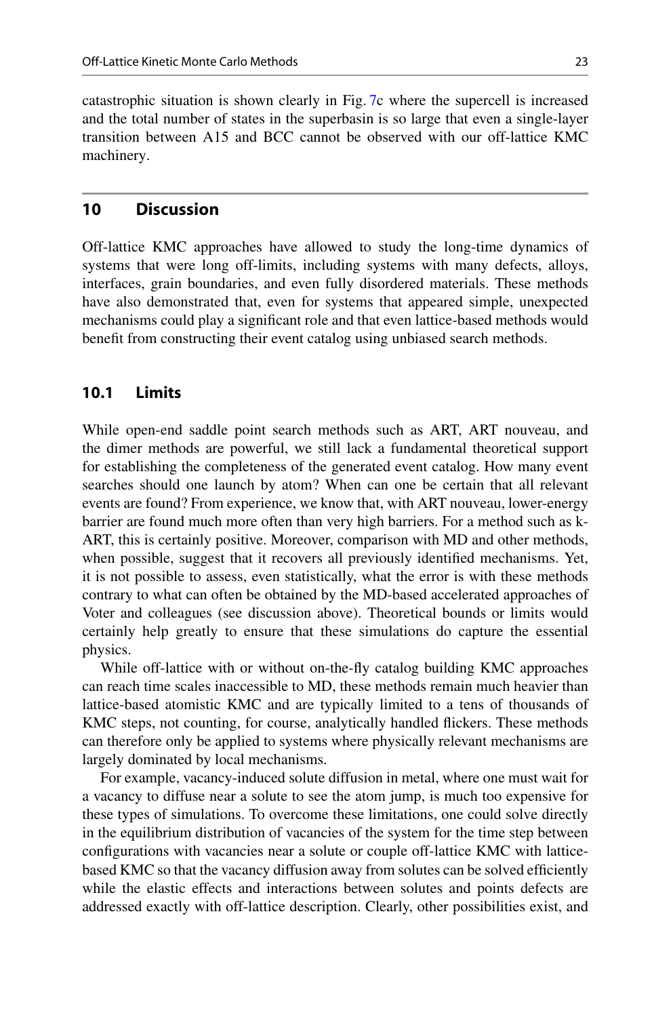catastrophic situation is shown clearly in Fig. 7c where the supercell is increased and the total number of states in the superbasin is so large that even a single-layer transition between A15 and BCC cannot be observed with our off-lattice KMC machinery.

## **10 Discussion**

Off-lattice KMC approaches have allowed to study the long-time dynamics of systems that were long off-limits, including systems with many defects, alloys, interfaces, grain boundaries, and even fully disordered materials. These methods have also demonstrated that, even for systems that appeared simple, unexpected mechanisms could play a significant role and that even lattice-based methods would benefit from constructing their event catalog using unbiased search methods.

# **10.1 Limits**

While open-end saddle point search methods such as ART, ART nouveau, and the dimer methods are powerful, we still lack a fundamental theoretical support for establishing the completeness of the generated event catalog. How many event searches should one launch by atom? When can one be certain that all relevant events are found? From experience, we know that, with ART nouveau, lower-energy barrier are found much more often than very high barriers. For a method such as k-ART, this is certainly positive. Moreover, comparison with MD and other methods, when possible, suggest that it recovers all previously identified mechanisms. Yet, it is not possible to assess, even statistically, what the error is with these methods contrary to what can often be obtained by the MD-based accelerated approaches of Voter and colleagues (see discussion above). Theoretical bounds or limits would certainly help greatly to ensure that these simulations do capture the essential physics.

While off-lattice with or without on-the-fly catalog building KMC approaches can reach time scales inaccessible to MD, these methods remain much heavier than lattice-based atomistic KMC and are typically limited to a tens of thousands of KMC steps, not counting, for course, analytically handled flickers. These methods can therefore only be applied to systems where physically relevant mechanisms are largely dominated by local mechanisms.

For example, vacancy-induced solute diffusion in metal, where one must wait for a vacancy to diffuse near a solute to see the atom jump, is much too expensive for these types of simulations. To overcome these limitations, one could solve directly in the equilibrium distribution of vacancies of the system for the time step between configurations with vacancies near a solute or couple off-lattice KMC with latticebased KMC so that the vacancy diffusion away from solutes can be solved efficiently while the elastic effects and interactions between solutes and points defects are addressed exactly with off-lattice description. Clearly, other possibilities exist, and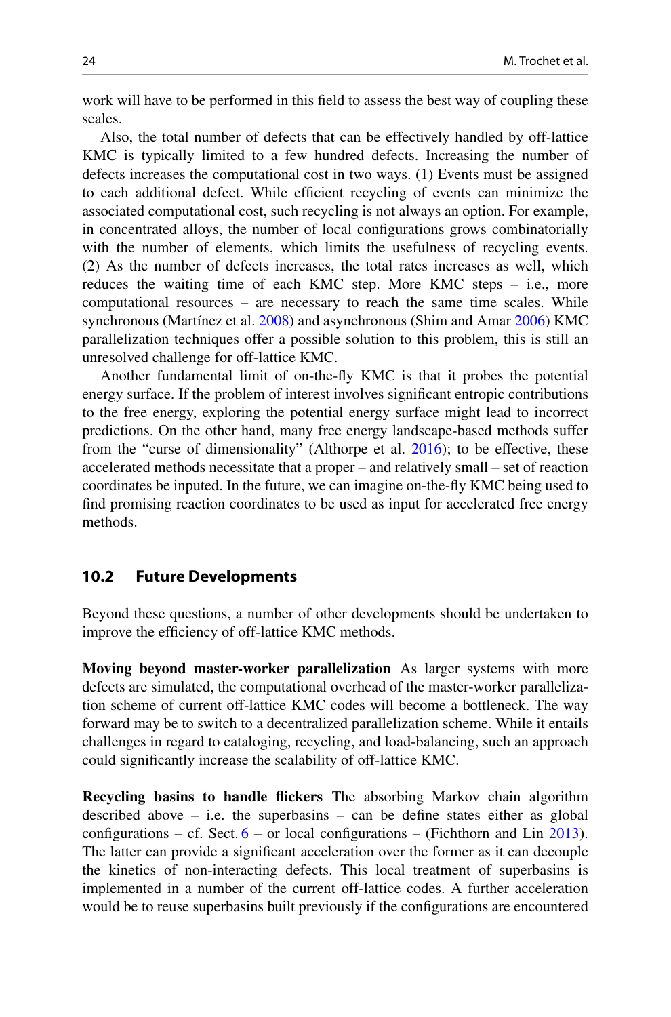work will have to be performed in this field to assess the best way of coupling these scales.

Also, the total number of defects that can be effectively handled by off-lattice KMC is typically limited to a few hundred defects. Increasing the number of defects increases the computational cost in two ways. (1) Events must be assigned to each additional defect. While efficient recycling of events can minimize the associated computational cost, such recycling is not always an option. For example, in concentrated alloys, the number of local configurations grows combinatorially with the number of elements, which limits the usefulness of recycling events. (2) As the number of defects increases, the total rates increases as well, which reduces the waiting time of each KMC step. More KMC steps – i.e., more computational resources – are necessary to reach the same time scales. While synchronous (Martínez et al. 2008) and asynchronous (Shim and Amar 2006) KMC parallelization techniques offer a possible solution to this problem, this is still an unresolved challenge for off-lattice KMC.

Another fundamental limit of on-the-fly KMC is that it probes the potential energy surface. If the problem of interest involves significant entropic contributions to the free energy, exploring the potential energy surface might lead to incorrect predictions. On the other hand, many free energy landscape-based methods suffer from the "curse of dimensionality" (Althorpe et al. 2016); to be effective, these accelerated methods necessitate that a proper – and relatively small – set of reaction coordinates be inputed. In the future, we can imagine on-the-fly KMC being used to find promising reaction coordinates to be used as input for accelerated free energy methods.

#### **10.2 Future Developments**

Beyond these questions, a number of other developments should be undertaken to improve the efficiency of off-lattice KMC methods.

**Moving beyond master-worker parallelization** As larger systems with more defects are simulated, the computational overhead of the master-worker parallelization scheme of current off-lattice KMC codes will become a bottleneck. The way forward may be to switch to a decentralized parallelization scheme. While it entails challenges in regard to cataloging, recycling, and load-balancing, such an approach could significantly increase the scalability of off-lattice KMC.

**Recycling basins to handle flickers** The absorbing Markov chain algorithm described above  $-$  i.e. the superbasins  $-$  can be define states either as global configurations – cf. Sect.  $6$  – or local configurations – (Fichthorn and Lin 2013). The latter can provide a significant acceleration over the former as it can decouple the kinetics of non-interacting defects. This local treatment of superbasins is implemented in a number of the current off-lattice codes. A further acceleration would be to reuse superbasins built previously if the configurations are encountered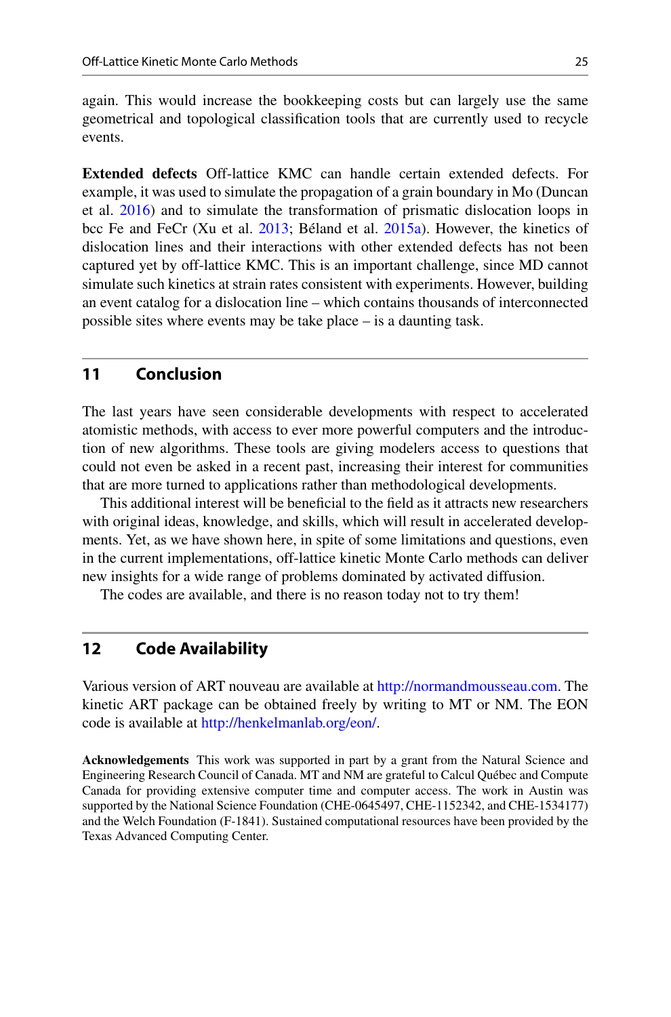again. This would increase the bookkeeping costs but can largely use the same geometrical and topological classification tools that are currently used to recycle events.

**Extended defects** Off-lattice KMC can handle certain extended defects. For example, it was used to simulate the propagation of a grain boundary in Mo (Duncan et al. 2016) and to simulate the transformation of prismatic dislocation loops in bcc Fe and FeCr (Xu et al. 2013; Béland et al. 2015a). However, the kinetics of dislocation lines and their interactions with other extended defects has not been captured yet by off-lattice KMC. This is an important challenge, since MD cannot simulate such kinetics at strain rates consistent with experiments. However, building an event catalog for a dislocation line – which contains thousands of interconnected possible sites where events may be take place – is a daunting task.

# **11 Conclusion**

The last years have seen considerable developments with respect to accelerated atomistic methods, with access to ever more powerful computers and the introduction of new algorithms. These tools are giving modelers access to questions that could not even be asked in a recent past, increasing their interest for communities that are more turned to applications rather than methodological developments.

This additional interest will be beneficial to the field as it attracts new researchers with original ideas, knowledge, and skills, which will result in accelerated developments. Yet, as we have shown here, in spite of some limitations and questions, even in the current implementations, off-lattice kinetic Monte Carlo methods can deliver new insights for a wide range of problems dominated by activated diffusion.

The codes are available, and there is no reason today not to try them!

# **12 Code Availability**

Various version of ART nouveau are available at [http://normandmousseau.com.](http://normandmousseau.com) The kinetic ART package can be obtained freely by writing to MT or NM. The EON code is available at [http://henkelmanlab.org/eon/.](http://henkelmanlab.org/eon/)

**Acknowledgements** This work was supported in part by a grant from the Natural Science and Engineering Research Council of Canada. MT and NM are grateful to Calcul Québec and Compute Canada for providing extensive computer time and computer access. The work in Austin was supported by the National Science Foundation (CHE-0645497, CHE-1152342, and CHE-1534177) and the Welch Foundation (F-1841). Sustained computational resources have been provided by the Texas Advanced Computing Center.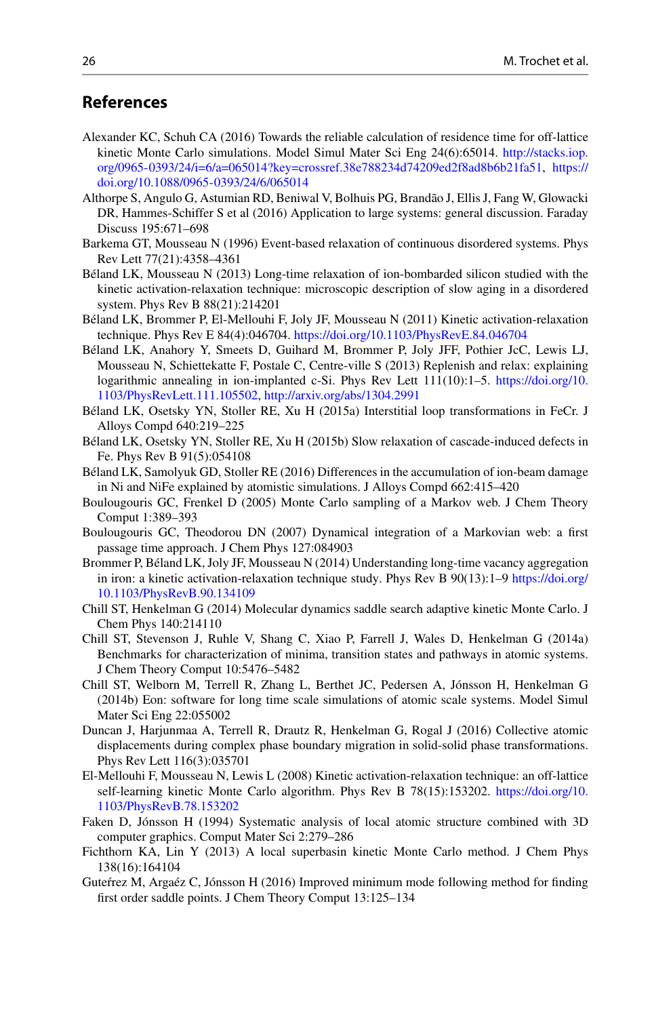# **References**

- Alexander KC, Schuh CA (2016) Towards the reliable calculation of residence time for off-lattice kinetic Monte Carlo simulations. Model Simul Mater Sci Eng 24(6):65014. [http://stacks.iop.](http://stacks.iop.org/0965-0393/24/i=6/a=065014?key=crossref.38e788234d74209ed2f8ad8b6b21fa51) [org/0965-0393/24/i=6/a=065014?key=crossref.38e788234d74209ed2f8ad8b6b21fa51,](http://stacks.iop.org/0965-0393/24/i=6/a=065014?key=crossref.38e788234d74209ed2f8ad8b6b21fa51) [https://](https://doi.org/10.1088/0965-0393/24/6/065014) [doi.org/10.1088/0965-0393/24/6/065014](https://doi.org/10.1088/0965-0393/24/6/065014)
- Althorpe S, Angulo G, Astumian RD, Beniwal V, Bolhuis PG, Brandão J, Ellis J, Fang W, Glowacki DR, Hammes-Schiffer S et al (2016) Application to large systems: general discussion. Faraday Discuss 195:671–698
- Barkema GT, Mousseau N (1996) Event-based relaxation of continuous disordered systems. Phys Rev Lett 77(21):4358–4361
- Béland LK, Mousseau N (2013) Long-time relaxation of ion-bombarded silicon studied with the kinetic activation-relaxation technique: microscopic description of slow aging in a disordered system. Phys Rev B 88(21):214201
- Béland LK, Brommer P, El-Mellouhi F, Joly JF, Mousseau N (2011) Kinetic activation-relaxation technique. Phys Rev E 84(4):046704. <https://doi.org/10.1103/PhysRevE.84.046704>
- Béland LK, Anahory Y, Smeets D, Guihard M, Brommer P, Joly JFF, Pothier JcC, Lewis LJ, Mousseau N, Schiettekatte F, Postale C, Centre-ville S (2013) Replenish and relax: explaining logarithmic annealing in ion-implanted c-Si. Phys Rev Lett 111(10):1–5. [https://doi.org/10.](https://doi.org/10.1103/PhysRevLett.111.105502) [1103/PhysRevLett.111.105502,](https://doi.org/10.1103/PhysRevLett.111.105502) <http://arxiv.org/abs/1304.2991>
- Béland LK, Osetsky YN, Stoller RE, Xu H (2015a) Interstitial loop transformations in FeCr. J Alloys Compd 640:219–225
- Béland LK, Osetsky YN, Stoller RE, Xu H (2015b) Slow relaxation of cascade-induced defects in Fe. Phys Rev B 91(5):054108
- Béland LK, Samolyuk GD, Stoller RE (2016) Differences in the accumulation of ion-beam damage in Ni and NiFe explained by atomistic simulations. J Alloys Compd 662:415–420
- Boulougouris GC, Frenkel D (2005) Monte Carlo sampling of a Markov web. J Chem Theory Comput 1:389–393
- Boulougouris GC, Theodorou DN (2007) Dynamical integration of a Markovian web: a first passage time approach. J Chem Phys 127:084903
- Brommer P, Béland LK, Joly JF, Mousseau N (2014) Understanding long-time vacancy aggregation in iron: a kinetic activation-relaxation technique study. Phys Rev B 90(13):1–9 [https://doi.org/](https://doi.org/10.1103/PhysRevB.90.134109) [10.1103/PhysRevB.90.134109](https://doi.org/10.1103/PhysRevB.90.134109)
- Chill ST, Henkelman G (2014) Molecular dynamics saddle search adaptive kinetic Monte Carlo. J Chem Phys 140:214110
- Chill ST, Stevenson J, Ruhle V, Shang C, Xiao P, Farrell J, Wales D, Henkelman G (2014a) Benchmarks for characterization of minima, transition states and pathways in atomic systems. J Chem Theory Comput 10:5476–5482
- Chill ST, Welborn M, Terrell R, Zhang L, Berthet JC, Pedersen A, Jónsson H, Henkelman G (2014b) Eon: software for long time scale simulations of atomic scale systems. Model Simul Mater Sci Eng 22:055002
- Duncan J, Harjunmaa A, Terrell R, Drautz R, Henkelman G, Rogal J (2016) Collective atomic displacements during complex phase boundary migration in solid-solid phase transformations. Phys Rev Lett 116(3):035701
- El-Mellouhi F, Mousseau N, Lewis L (2008) Kinetic activation-relaxation technique: an off-lattice self-learning kinetic Monte Carlo algorithm. Phys Rev B 78(15):153202. [https://doi.org/10.](https://doi.org/10.1103/PhysRevB.78.153202) [1103/PhysRevB.78.153202](https://doi.org/10.1103/PhysRevB.78.153202)
- Faken D, Jónsson H (1994) Systematic analysis of local atomic structure combined with 3D computer graphics. Comput Mater Sci 2:279–286
- Fichthorn KA, Lin Y (2013) A local superbasin kinetic Monte Carlo method. J Chem Phys 138(16):164104
- Gutefrez M, Argaéz C, Jónsson H (2016) Improved minimum mode following method for finding first order saddle points. J Chem Theory Comput 13:125–134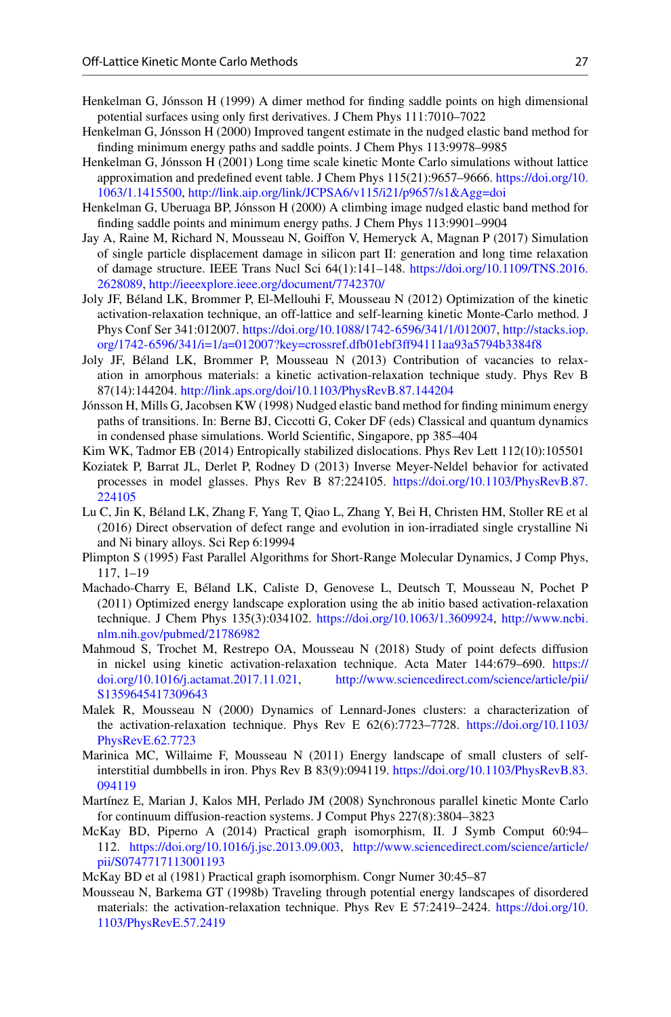- Henkelman G, Jónsson H (1999) A dimer method for finding saddle points on high dimensional potential surfaces using only first derivatives. J Chem Phys 111:7010–7022
- Henkelman G, Jónsson H (2000) Improved tangent estimate in the nudged elastic band method for finding minimum energy paths and saddle points. J Chem Phys 113:9978–9985
- Henkelman G, Jónsson H (2001) Long time scale kinetic Monte Carlo simulations without lattice approximation and predefined event table. J Chem Phys 115(21):9657–9666. [https://doi.org/10.](https://doi.org/10.1063/1.1415500) [1063/1.1415500,](https://doi.org/10.1063/1.1415500) <http://link.aip.org/link/JCPSA6/v115/i21/p9657/s1&Agg=doi>
- Henkelman G, Uberuaga BP, Jónsson H (2000) A climbing image nudged elastic band method for finding saddle points and minimum energy paths. J Chem Phys 113:9901–9904
- Jay A, Raine M, Richard N, Mousseau N, Goiffon V, Hemeryck A, Magnan P (2017) Simulation of single particle displacement damage in silicon part II: generation and long time relaxation of damage structure. IEEE Trans Nucl Sci 64(1):141–148. [https://doi.org/10.1109/TNS.2016.](https://doi.org/10.1109/TNS.2016.2628089) [2628089,](https://doi.org/10.1109/TNS.2016.2628089) <http://ieeexplore.ieee.org/document/7742370/>
- Joly JF, Béland LK, Brommer P, El-Mellouhi F, Mousseau N (2012) Optimization of the kinetic activation-relaxation technique, an off-lattice and self-learning kinetic Monte-Carlo method. J Phys Conf Ser 341:012007. [https://doi.org/10.1088/1742-6596/341/1/012007,](https://doi.org/10.1088/1742-6596/341/1/012007) [http://stacks.iop.](http://stacks.iop.org/1742-6596/341/i=1/a=012007?key=crossref.dfb01ebf3ff94111aa93a5794b3384f8) [org/1742-6596/341/i=1/a=012007?key=crossref.dfb01ebf3ff94111aa93a5794b3384f8](http://stacks.iop.org/1742-6596/341/i=1/a=012007?key=crossref.dfb01ebf3ff94111aa93a5794b3384f8)
- Joly JF, Béland LK, Brommer P, Mousseau N (2013) Contribution of vacancies to relaxation in amorphous materials: a kinetic activation-relaxation technique study. Phys Rev B 87(14):144204. <http://link.aps.org/doi/10.1103/PhysRevB.87.144204>
- Jónsson H, Mills G, Jacobsen KW (1998) Nudged elastic band method for finding minimum energy paths of transitions. In: Berne BJ, Ciccotti G, Coker DF (eds) Classical and quantum dynamics in condensed phase simulations. World Scientific, Singapore, pp 385–404
- Kim WK, Tadmor EB (2014) Entropically stabilized dislocations. Phys Rev Lett 112(10):105501
- Koziatek P, Barrat JL, Derlet P, Rodney D (2013) Inverse Meyer-Neldel behavior for activated processes in model glasses. Phys Rev B 87:224105. [https://doi.org/10.1103/PhysRevB.87.](https://doi.org/10.1103/PhysRevB.87.224105) [224105](https://doi.org/10.1103/PhysRevB.87.224105)
- Lu C, Jin K, Béland LK, Zhang F, Yang T, Qiao L, Zhang Y, Bei H, Christen HM, Stoller RE et al (2016) Direct observation of defect range and evolution in ion-irradiated single crystalline Ni and Ni binary alloys. Sci Rep 6:19994
- Plimpton S (1995) Fast Parallel Algorithms for Short-Range Molecular Dynamics, J Comp Phys, 117, 1–19
- Machado-Charry E, Béland LK, Caliste D, Genovese L, Deutsch T, Mousseau N, Pochet P (2011) Optimized energy landscape exploration using the ab initio based activation-relaxation technique. J Chem Phys 135(3):034102. [https://doi.org/10.1063/1.3609924,](https://doi.org/10.1063/1.3609924) [http://www.ncbi.](http://www.ncbi.nlm.nih.gov/pubmed/21786982) [nlm.nih.gov/pubmed/21786982](http://www.ncbi.nlm.nih.gov/pubmed/21786982)
- Mahmoud S, Trochet M, Restrepo OA, Mousseau N (2018) Study of point defects diffusion in nickel using kinetic activation-relaxation technique. Acta Mater 144:679–690. [https://](https://doi.org/10.1016/j.actamat.2017.11.021) [doi.org/10.1016/j.actamat.2017.11.021,](https://doi.org/10.1016/j.actamat.2017.11.021) [http://www.sciencedirect.com/science/article/pii/](http://www.sciencedirect.com/science/article/pii/S1359645417309643) [S1359645417309643](http://www.sciencedirect.com/science/article/pii/S1359645417309643)
- Malek R, Mousseau N (2000) Dynamics of Lennard-Jones clusters: a characterization of the activation-relaxation technique. Phys Rev E 62(6):7723–7728. [https://doi.org/10.1103/](https://doi.org/10.1103/PhysRevE.62.7723) [PhysRevE.62.7723](https://doi.org/10.1103/PhysRevE.62.7723)
- Marinica MC, Willaime F, Mousseau N (2011) Energy landscape of small clusters of selfinterstitial dumbbells in iron. Phys Rev B 83(9):094119. [https://doi.org/10.1103/PhysRevB.83.](https://doi.org/10.1103/PhysRevB.83.094119) [094119](https://doi.org/10.1103/PhysRevB.83.094119)
- Martínez E, Marian J, Kalos MH, Perlado JM (2008) Synchronous parallel kinetic Monte Carlo for continuum diffusion-reaction systems. J Comput Phys 227(8):3804–3823
- McKay BD, Piperno A (2014) Practical graph isomorphism, II. J Symb Comput 60:94– 112. [https://doi.org/10.1016/j.jsc.2013.09.003,](https://doi.org/10.1016/j.jsc.2013.09.003) [http://www.sciencedirect.com/science/article/](http://www.sciencedirect.com/science/article/pii/S0747717113001193) [pii/S0747717113001193](http://www.sciencedirect.com/science/article/pii/S0747717113001193)
- McKay BD et al (1981) Practical graph isomorphism. Congr Numer 30:45–87
- Mousseau N, Barkema GT (1998b) Traveling through potential energy landscapes of disordered materials: the activation-relaxation technique. Phys Rev E 57:2419–2424. [https://doi.org/10.](https://doi.org/10.1103/PhysRevE.57.2419) [1103/PhysRevE.57.2419](https://doi.org/10.1103/PhysRevE.57.2419)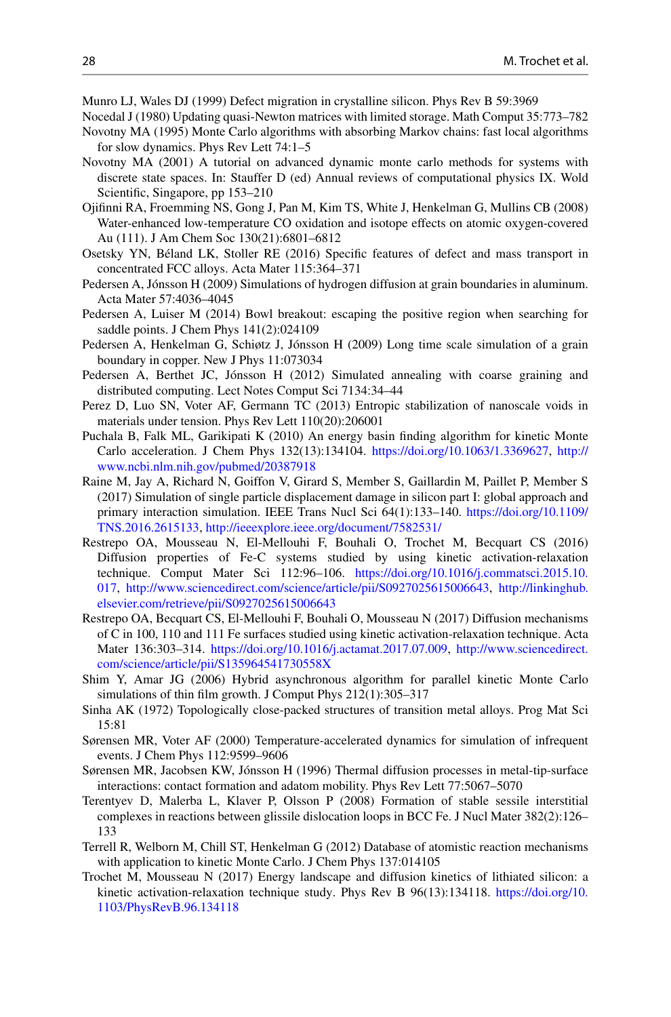Munro LJ, Wales DJ (1999) Defect migration in crystalline silicon. Phys Rev B 59:3969

Nocedal J (1980) Updating quasi-Newton matrices with limited storage. Math Comput 35:773–782

- Novotny MA (1995) Monte Carlo algorithms with absorbing Markov chains: fast local algorithms for slow dynamics. Phys Rev Lett 74:1–5
- Novotny MA (2001) A tutorial on advanced dynamic monte carlo methods for systems with discrete state spaces. In: Stauffer D (ed) Annual reviews of computational physics IX. Wold Scientific, Singapore, pp 153–210
- Ojifinni RA, Froemming NS, Gong J, Pan M, Kim TS, White J, Henkelman G, Mullins CB (2008) Water-enhanced low-temperature CO oxidation and isotope effects on atomic oxygen-covered Au (111). J Am Chem Soc 130(21):6801–6812
- Osetsky YN, Béland LK, Stoller RE (2016) Specific features of defect and mass transport in concentrated FCC alloys. Acta Mater 115:364–371
- Pedersen A, Jónsson H (2009) Simulations of hydrogen diffusion at grain boundaries in aluminum. Acta Mater 57:4036–4045
- Pedersen A, Luiser M (2014) Bowl breakout: escaping the positive region when searching for saddle points. J Chem Phys 141(2):024109
- Pedersen A, Henkelman G, Schiøtz J, Jónsson H (2009) Long time scale simulation of a grain boundary in copper. New J Phys 11:073034
- Pedersen A, Berthet JC, Jónsson H (2012) Simulated annealing with coarse graining and distributed computing. Lect Notes Comput Sci 7134:34–44
- Perez D, Luo SN, Voter AF, Germann TC (2013) Entropic stabilization of nanoscale voids in materials under tension. Phys Rev Lett 110(20):206001
- Puchala B, Falk ML, Garikipati K (2010) An energy basin finding algorithm for kinetic Monte Carlo acceleration. J Chem Phys 132(13):134104. [https://doi.org/10.1063/1.3369627,](https://doi.org/10.1063/1.3369627) [http://](http://www.ncbi.nlm.nih.gov/pubmed/20387918) [www.ncbi.nlm.nih.gov/pubmed/20387918](http://www.ncbi.nlm.nih.gov/pubmed/20387918)
- Raine M, Jay A, Richard N, Goiffon V, Girard S, Member S, Gaillardin M, Paillet P, Member S (2017) Simulation of single particle displacement damage in silicon part I: global approach and primary interaction simulation. IEEE Trans Nucl Sci 64(1):133–140. [https://doi.org/10.1109/](https://doi.org/10.1109/TNS.2016.2615133) [TNS.2016.2615133,](https://doi.org/10.1109/TNS.2016.2615133) <http://ieeexplore.ieee.org/document/7582531/>
- Restrepo OA, Mousseau N, El-Mellouhi F, Bouhali O, Trochet M, Becquart CS (2016) Diffusion properties of Fe-C systems studied by using kinetic activation-relaxation technique. Comput Mater Sci 112:96–106. [https://doi.org/10.1016/j.commatsci.2015.10.](https://doi.org/10.1016/j.commatsci.2015.10.017) [017,](https://doi.org/10.1016/j.commatsci.2015.10.017) [http://www.sciencedirect.com/science/article/pii/S0927025615006643,](http://www.sciencedirect.com/science/article/pii/S0927025615006643) [http://linkinghub.](http://linkinghub.elsevier.com/retrieve/pii/S0927025615006643) [elsevier.com/retrieve/pii/S0927025615006643](http://linkinghub.elsevier.com/retrieve/pii/S0927025615006643)
- Restrepo OA, Becquart CS, El-Mellouhi F, Bouhali O, Mousseau N (2017) Diffusion mechanisms of C in 100, 110 and 111 Fe surfaces studied using kinetic activation-relaxation technique. Acta Mater 136:303–314. [https://doi.org/10.1016/j.actamat.2017.07.009,](https://doi.org/10.1016/j.actamat.2017.07.009) [http://www.sciencedirect.](http://www.sciencedirect.com/science/article/pii/S135964541730558X) [com/science/article/pii/S135964541730558X](http://www.sciencedirect.com/science/article/pii/S135964541730558X)
- Shim Y, Amar JG (2006) Hybrid asynchronous algorithm for parallel kinetic Monte Carlo simulations of thin film growth. J Comput Phys 212(1):305–317
- Sinha AK (1972) Topologically close-packed structures of transition metal alloys. Prog Mat Sci 15:81
- Sørensen MR, Voter AF (2000) Temperature-accelerated dynamics for simulation of infrequent events. J Chem Phys 112:9599–9606
- Sørensen MR, Jacobsen KW, Jónsson H (1996) Thermal diffusion processes in metal-tip-surface interactions: contact formation and adatom mobility. Phys Rev Lett 77:5067–5070
- Terentyev D, Malerba L, Klaver P, Olsson P (2008) Formation of stable sessile interstitial complexes in reactions between glissile dislocation loops in BCC Fe. J Nucl Mater 382(2):126– 133
- Terrell R, Welborn M, Chill ST, Henkelman G (2012) Database of atomistic reaction mechanisms with application to kinetic Monte Carlo. J Chem Phys 137:014105
- Trochet M, Mousseau N (2017) Energy landscape and diffusion kinetics of lithiated silicon: a kinetic activation-relaxation technique study. Phys Rev B 96(13):134118. [https://doi.org/10.](https://doi.org/10.1103/PhysRevB.96.134118) [1103/PhysRevB.96.134118](https://doi.org/10.1103/PhysRevB.96.134118)